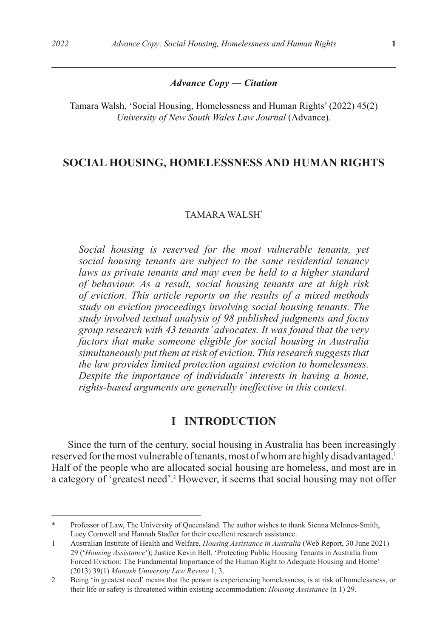#### *Advance Copy — Citation*

Tamara Walsh, 'Social Housing, Homelessness and Human Rights' (2022) 45(2) *University of New South Wales Law Journal* (Advance).

# **SOCIAL HOUSING, HOMELESSNESS AND HUMAN RIGHTS**

#### TAMARA WALSH\*

*Social housing is reserved for the most vulnerable tenants, yet social housing tenants are subject to the same residential tenancy laws as private tenants and may even be held to a higher standard of behaviour. As a result, social housing tenants are at high risk of eviction. This article reports on the results of a mixed methods study on eviction proceedings involving social housing tenants. The study involved textual analysis of 98 published judgments and focus group research with 43 tenants' advocates. It was found that the very factors that make someone eligible for social housing in Australia simultaneously put them at risk of eviction. This research suggests that the law provides limited protection against eviction to homelessness. Despite the importance of individuals' interests in having a home, rights-based arguments are generally ineffective in this context.* 

# **I INTRODUCTION**

Since the turn of the century, social housing in Australia has been increasingly reserved for the most vulnerable of tenants, most of whom are highly disadvantaged.1 Half of the people who are allocated social housing are homeless, and most are in a category of 'greatest need'.<sup>2</sup> However, it seems that social housing may not offer

<sup>\*</sup> Professor of Law, The University of Queensland. The author wishes to thank Sienna McInnes-Smith, Lucy Cornwell and Hannah Stadler for their excellent research assistance.

<sup>1</sup> Australian Institute of Health and Welfare, *Housing Assistance in Australia* (Web Report, 30 June 2021) 29 ('*Housing Assistance*'); Justice Kevin Bell, 'Protecting Public Housing Tenants in Australia from Forced Eviction: The Fundamental Importance of the Human Right to Adequate Housing and Home' (2013) 39(1) *Monash University Law Review* 1, 3.

<sup>2</sup> Being 'in greatest need' means that the person is experiencing homelessness, is at risk of homelessness, or their life or safety is threatened within existing accommodation: *Housing Assistance* (n 1) 29.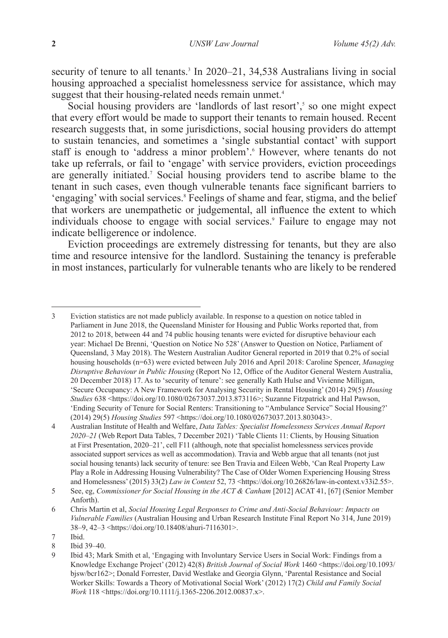security of tenure to all tenants.<sup>3</sup> In 2020–21, 34,538 Australians living in social housing approached a specialist homelessness service for assistance, which may suggest that their housing-related needs remain unmet.<sup>4</sup>

Social housing providers are 'landlords of last resort',<sup>5</sup> so one might expect that every effort would be made to support their tenants to remain housed. Recent research suggests that, in some jurisdictions, social housing providers do attempt to sustain tenancies, and sometimes a 'single substantial contact' with support staff is enough to 'address a minor problem'. However, where tenants do not take up referrals, or fail to 'engage' with service providers, eviction proceedings are generally initiated.7 Social housing providers tend to ascribe blame to the tenant in such cases, even though vulnerable tenants face significant barriers to 'engaging' with social services.<sup>8</sup> Feelings of shame and fear, stigma, and the belief that workers are unempathetic or judgemental, all influence the extent to which individuals choose to engage with social services.<sup>9</sup> Failure to engage may not indicate belligerence or indolence.

Eviction proceedings are extremely distressing for tenants, but they are also time and resource intensive for the landlord. Sustaining the tenancy is preferable in most instances, particularly for vulnerable tenants who are likely to be rendered

3 Eviction statistics are not made publicly available. In response to a question on notice tabled in Parliament in June 2018, the Queensland Minister for Housing and Public Works reported that, from 2012 to 2018, between 44 and 74 public housing tenants were evicted for disruptive behaviour each year: Michael De Brenni, 'Question on Notice No 528' (Answer to Question on Notice, Parliament of Queensland, 3 May 2018). The Western Australian Auditor General reported in 2019 that 0.2% of social housing households (n=63) were evicted between July 2016 and April 2018: Caroline Spencer, *Managing Disruptive Behaviour in Public Housing* (Report No 12, Office of the Auditor General Western Australia, 20 December 2018) 17. As to 'security of tenure': see generally Kath Hulse and Vivienne Milligan, 'Secure Occupancy: A New Framework for Analysing Security in Rental Housing' (2014) 29(5) *Housing Studies* 638 <https://doi.org/10.1080/02673037.2013.873116>; Suzanne Fitzpatrick and Hal Pawson, 'Ending Security of Tenure for Social Renters: Transitioning to "Ambulance Service" Social Housing?' (2014) 29(5) *Housing Studies* 597 <https://doi.org/10.1080/02673037.2013.803043>.

<sup>4</sup> Australian Institute of Health and Welfare, *Data Tables: Specialist Homelessness Services Annual Report 2020–21* (Web Report Data Tables, 7 December 2021) 'Table Clients 11: Clients, by Housing Situation at First Presentation, 2020–21', cell F11 (although, note that specialist homelessness services provide associated support services as well as accommodation). Travia and Webb argue that all tenants (not just social housing tenants) lack security of tenure: see Ben Travia and Eileen Webb, 'Can Real Property Law Play a Role in Addressing Housing Vulnerability? The Case of Older Women Experiencing Housing Stress and Homelessness' (2015) 33(2) *Law in Context 52, 73* <https://doi.org/10.26826/law-in-context.v33i2.55>.

<sup>5</sup> See, eg, *Commissioner for Social Housing in the ACT & Canham* [2012] ACAT 41, [67] (Senior Member Anforth).

<sup>6</sup> Chris Martin et al, *Social Housing Legal Responses to Crime and Anti-Social Behaviour: Impacts on Vulnerable Families* (Australian Housing and Urban Research Institute Final Report No 314, June 2019) 38–9, 42–3 <https://doi.org/10.18408/ahuri-7116301>.

<sup>7</sup> Ibid.<br>8 Ibid.

<sup>8</sup> Ibid 39–40.<br>9 Ibid  $43 \cdot M_3$ 

<sup>9</sup> Ibid 43; Mark Smith et al, 'Engaging with Involuntary Service Users in Social Work: Findings from a Knowledge Exchange Project' (2012) 42(8) *British Journal of Social Work* 1460 <https://doi.org/10.1093/ bjsw/bcr162>; Donald Forrester, David Westlake and Georgia Glynn, 'Parental Resistance and Social Worker Skills: Towards a Theory of Motivational Social Work' (2012) 17(2) *Child and Family Social Work* 118 <https://doi.org/10.1111/j.1365-2206.2012.00837.x>.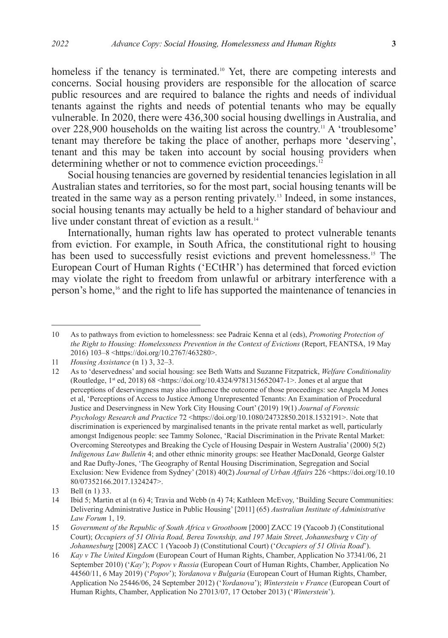homeless if the tenancy is terminated.<sup>10</sup> Yet, there are competing interests and concerns. Social housing providers are responsible for the allocation of scarce public resources and are required to balance the rights and needs of individual tenants against the rights and needs of potential tenants who may be equally vulnerable. In 2020, there were 436,300 social housing dwellings in Australia, and over 228,900 households on the waiting list across the country.11 A 'troublesome' tenant may therefore be taking the place of another, perhaps more 'deserving', tenant and this may be taken into account by social housing providers when determining whether or not to commence eviction proceedings.<sup>12</sup>

Social housing tenancies are governed by residential tenancies legislation in all Australian states and territories, so for the most part, social housing tenants will be treated in the same way as a person renting privately.13 Indeed, in some instances, social housing tenants may actually be held to a higher standard of behaviour and live under constant threat of eviction as a result.<sup>14</sup>

Internationally, human rights law has operated to protect vulnerable tenants from eviction. For example, in South Africa, the constitutional right to housing has been used to successfully resist evictions and prevent homelessness.<sup>15</sup> The European Court of Human Rights ('ECtHR') has determined that forced eviction may violate the right to freedom from unlawful or arbitrary interference with a person's home,16 and the right to life has supported the maintenance of tenancies in

<sup>10</sup> As to pathways from eviction to homelessness: see Padraic Kenna et al (eds), *Promoting Protection of the Right to Housing: Homelessness Prevention in the Context of Evictions* (Report, FEANTSA, 19 May 2016) 103–8 <https://doi.org/10.2767/463280>.

<sup>11</sup> *Housing Assistance* (n 1) 3, 32–3.

<sup>12</sup> As to 'deservedness' and social housing: see Beth Watts and Suzanne Fitzpatrick, *Welfare Conditionality* (Routledge, 1<sup>st</sup> ed, 2018) 68 <https://doi.org/10.4324/9781315652047-1>. Jones et al argue that perceptions of deservingness may also influence the outcome of those proceedings: see Angela M Jones et al, 'Perceptions of Access to Justice Among Unrepresented Tenants: An Examination of Procedural Justice and Deservingness in New York City Housing Court' (2019) 19(1) *Journal of Forensic Psychology Research and Practice* 72 <https://doi.org/10.1080/24732850.2018.1532191>. Note that discrimination is experienced by marginalised tenants in the private rental market as well, particularly amongst Indigenous people: see Tammy Solonec, 'Racial Discrimination in the Private Rental Market: Overcoming Stereotypes and Breaking the Cycle of Housing Despair in Western Australia' (2000) 5(2) *Indigenous Law Bulletin* 4; and other ethnic minority groups: see Heather MacDonald, George Galster and Rae Dufty-Jones, 'The Geography of Rental Housing Discrimination, Segregation and Social Exclusion: New Evidence from Sydney' (2018) 40(2) *Journal of Urban Affairs* 226 <https://doi.org/10.10 80/07352166.2017.1324247>.

<sup>13</sup> Bell (n 1) 33.<br>14 Ibid 5: Martin

<sup>14</sup> Ibid 5; Martin et al (n 6) 4; Travia and Webb (n 4) 74; Kathleen McEvoy, 'Building Secure Communities: Delivering Administrative Justice in Public Housing' [2011] (65) *Australian Institute of Administrative Law Forum* 1, 19.

<sup>15</sup> *Government of the Republic of South Africa v Grootboom* [2000] ZACC 19 (Yacoob J) (Constitutional Court); *Occupiers of 51 Olivia Road, Berea Township, and 197 Main Street, Johannesburg v City of Johannesburg* [2008] ZACC 1 (Yacoob J) (Constitutional Court) ('*Occupiers of 51 Olivia Road*').

<sup>16</sup> *Kay v The United Kingdom* (European Court of Human Rights, Chamber, Application No 37341/06, 21 September 2010) ('*Kay*'); *Popov v Russia* (European Court of Human Rights, Chamber, Application No 44560/11, 6 May 2019) ('*Popov*'); *Yordanova v Bulgaria* (European Court of Human Rights, Chamber, Application No 25446/06, 24 September 2012) ('*Yordanova*'); *Winterstein v France* (European Court of Human Rights, Chamber, Application No 27013/07, 17 October 2013) ('*Winterstein*').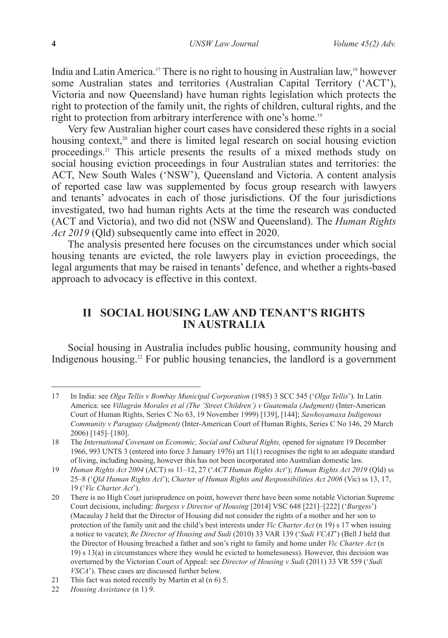India and Latin America.17 There is no right to housing in Australian law,18 however some Australian states and territories (Australian Capital Territory ('ACT'), Victoria and now Queensland) have human rights legislation which protects the right to protection of the family unit, the rights of children, cultural rights, and the right to protection from arbitrary interference with one's home.19

Very few Australian higher court cases have considered these rights in a social housing context,<sup>20</sup> and there is limited legal research on social housing eviction proceedings.21 This article presents the results of a mixed methods study on social housing eviction proceedings in four Australian states and territories: the ACT, New South Wales ('NSW'), Queensland and Victoria. A content analysis of reported case law was supplemented by focus group research with lawyers and tenants' advocates in each of those jurisdictions. Of the four jurisdictions investigated, two had human rights Acts at the time the research was conducted (ACT and Victoria), and two did not (NSW and Queensland). The *Human Rights Act 2019* (Qld) subsequently came into effect in 2020.

The analysis presented here focuses on the circumstances under which social housing tenants are evicted, the role lawyers play in eviction proceedings, the legal arguments that may be raised in tenants' defence, and whether a rights-based approach to advocacy is effective in this context.

# **II SOCIAL HOUSING LAW AND TENANT'S RIGHTS IN AUSTRALIA**

Social housing in Australia includes public housing, community housing and Indigenous housing.<sup>22</sup> For public housing tenancies, the landlord is a government

<sup>17</sup> In India: see *Olga Tellis v Bombay Municipal Corporation* (1985) 3 SCC 545 ('*Olga Tellis*')*.* In Latin America: see *Villagrán Morales et al (The 'Street Children') v Guatemala (Judgment)* (Inter-American Court of Human Rights, Series C No 63, 19 November 1999) [139], [144]; *Sawhoyamaxa Indigenous Community v Paraguay (Judgment)* (Inter-American Court of Human Rights, Series C No 146, 29 March 2006) [145]–[180].

<sup>18</sup> The *International Covenant on Economic, Social and Cultural Rights,* opened for signature 19 December 1966, 993 UNTS 3 (entered into force 3 January 1976) art 11(1) recognises the right to an adequate standard of living, including housing, however this has not been incorporated into Australian domestic law.

<sup>19</sup> *Human Rights Act 2004* (ACT) ss 11–12, 27 ('*ACT Human Rights Act*'); *Human Rights Act 2019* (Qld) ss 25–8 ('*Qld Human Rights Act*'); *Charter of Human Rights and Responsibilities Act 2006* (Vic) ss 13, 17, 19 ('*Vic Charter Act*').

<sup>20</sup> There is no High Court jurisprudence on point, however there have been some notable Victorian Supreme Court decisions, including: *Burgess v Director of Housing* [2014] VSC 648 [221]–[222] ('*Burgess*') (Macaulay J held that the Director of Housing did not consider the rights of a mother and her son to protection of the family unit and the child's best interests under *Vic Charter Act* (n 19) s 17 when issuing a notice to vacate); *Re Director of Housing and Sudi* (2010) 33 VAR 139 ('*Sudi VCAT*') (Bell J held that the Director of Housing breached a father and son's right to family and home under *Vic Charter Act* (n 19) s 13(a) in circumstances where they would be evicted to homelessness). However, this decision was overturned by the Victorian Court of Appeal: see *Director of Housing v Sudi* (2011) 33 VR 559 ('*Sudi VSCA*'). These cases are discussed further below.

<sup>21</sup> This fact was noted recently by Martin et al (n 6) 5.

<sup>22</sup> *Housing Assistance* (n 1) 9.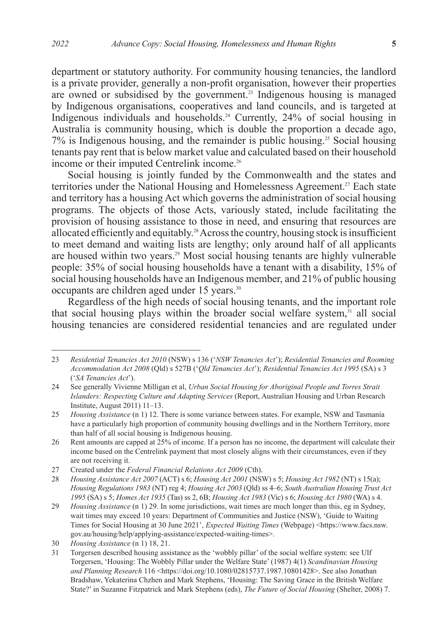department or statutory authority. For community housing tenancies, the landlord is a private provider, generally a non-profit organisation, however their properties are owned or subsidised by the government.<sup>23</sup> Indigenous housing is managed by Indigenous organisations, cooperatives and land councils, and is targeted at Indigenous individuals and households.<sup>24</sup> Currently, 24% of social housing in Australia is community housing, which is double the proportion a decade ago,  $7\%$  is Indigenous housing, and the remainder is public housing.<sup>25</sup> Social housing tenants pay rent that is below market value and calculated based on their household income or their imputed Centrelink income.<sup>26</sup>

Social housing is jointly funded by the Commonwealth and the states and territories under the National Housing and Homelessness Agreement.<sup>27</sup> Each state and territory has a housing Act which governs the administration of social housing programs. The objects of those Acts, variously stated, include facilitating the provision of housing assistance to those in need, and ensuring that resources are allocated efficiently and equitably.<sup>28</sup> Across the country, housing stock is insufficient to meet demand and waiting lists are lengthy; only around half of all applicants are housed within two years.<sup>29</sup> Most social housing tenants are highly vulnerable people: 35% of social housing households have a tenant with a disability, 15% of social housing households have an Indigenous member, and 21% of public housing occupants are children aged under 15 years.30

Regardless of the high needs of social housing tenants, and the important role that social housing plays within the broader social welfare system, $31$  all social housing tenancies are considered residential tenancies and are regulated under

<sup>23</sup> *Residential Tenancies Act 2010* (NSW) s 136 ('*NSW Tenancies Act*'); *Residential Tenancies and Rooming Accommodation Act 2008* (Qld) s 527B ('*Qld Tenancies Act*'); *Residential Tenancies Act 1995* (SA) s 3 ('*SA Tenancies Act*').

<sup>24</sup> See generally Vivienne Milligan et al, *Urban Social Housing for Aboriginal People and Torres Strait Islanders: Respecting Culture and Adapting Services* (Report, Australian Housing and Urban Research Institute, August 2011) 11–13.

<sup>25</sup> *Housing Assistance* (n 1) 12. There is some variance between states. For example, NSW and Tasmania have a particularly high proportion of community housing dwellings and in the Northern Territory, more than half of all social housing is Indigenous housing.

<sup>26</sup> Rent amounts are capped at 25% of income. If a person has no income, the department will calculate their income based on the Centrelink payment that most closely aligns with their circumstances, even if they are not receiving it.

<sup>27</sup> Created under the *Federal Financial Relations Act 2009* (Cth).

<sup>28</sup> *Housing Assistance Act 2007* (ACT) s 6; *Housing Act 2001* (NSW) s 5; *Housing Act 1982* (NT) s 15(a); *Housing Regulations 1983* (NT) reg 4; *Housing Act 2003* (Qld) ss 4–6; *South Australian Housing Trust Act 1995* (SA) s 5; *Homes Act 1935* (Tas) ss 2, 6B; *Housing Act 1983* (Vic) s 6; *Housing Act 1980* (WA) s 4.

<sup>29</sup> *Housing Assistance* (n 1) 29. In some jurisdictions, wait times are much longer than this, eg in Sydney, wait times may exceed 10 years: Department of Communities and Justice (NSW), 'Guide to Waiting Times for Social Housing at 30 June 2021', *Expected Waiting Times* (Webpage) <https://www.facs.nsw. gov.au/housing/help/applying-assistance/expected-waiting-times>.

<sup>30</sup> *Housing Assistance* (n 1) 18, 21.

<sup>31</sup> Torgersen described housing assistance as the 'wobbly pillar' of the social welfare system: see Ulf Torgersen, 'Housing: The Wobbly Pillar under the Welfare State' (1987) 4(1) *Scandinavian Housing and Planning Research* 116 <https://doi.org/10.1080/02815737.1987.10801428>. See also Jonathan Bradshaw, Yekaterina Chzhen and Mark Stephens, 'Housing: The Saving Grace in the British Welfare State?' in Suzanne Fitzpatrick and Mark Stephens (eds), *The Future of Social Housing* (Shelter, 2008) 7.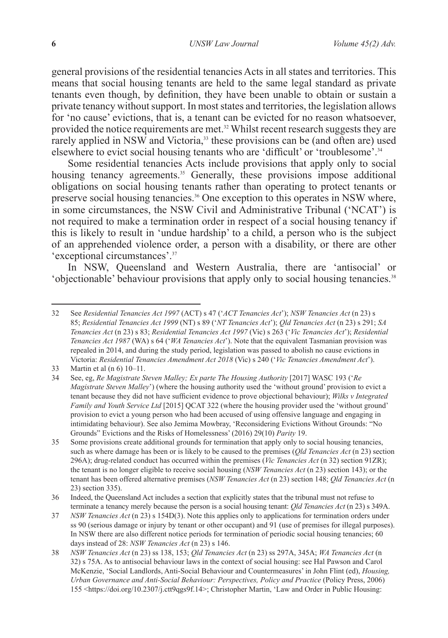general provisions of the residential tenancies Acts in all states and territories. This means that social housing tenants are held to the same legal standard as private tenants even though, by definition, they have been unable to obtain or sustain a private tenancy without support. In most states and territories, the legislation allows for 'no cause' evictions, that is, a tenant can be evicted for no reason whatsoever, provided the notice requirements are met.<sup>32</sup> Whilst recent research suggests they are rarely applied in NSW and Victoria,<sup>33</sup> these provisions can be (and often are) used elsewhere to evict social housing tenants who are 'difficult' or 'troublesome'.<sup>34</sup>

Some residential tenancies Acts include provisions that apply only to social housing tenancy agreements.<sup>35</sup> Generally, these provisions impose additional obligations on social housing tenants rather than operating to protect tenants or preserve social housing tenancies.<sup>36</sup> One exception to this operates in NSW where, in some circumstances, the NSW Civil and Administrative Tribunal ('NCAT') is not required to make a termination order in respect of a social housing tenancy if this is likely to result in 'undue hardship' to a child, a person who is the subject of an apprehended violence order, a person with a disability, or there are other 'exceptional circumstances'.37

In NSW, Queensland and Western Australia, there are 'antisocial' or 'objectionable' behaviour provisions that apply only to social housing tenancies.38

<sup>32</sup> See *Residential Tenancies Act 1997* (ACT) s 47 ('*ACT Tenancies Act*'); *NSW Tenancies Act* (n 23) s 85; *Residential Tenancies Act 1999* (NT) s 89 ('*NT Tenancies Act*'); *Qld Tenancies Act* (n 23) s 291; *SA Tenancies Act* (n 23) s 83; *Residential Tenancies Act 1997* (Vic) s 263 ('*Vic Tenancies Act*'); *Residential Tenancies Act 1987* (WA) s 64 ('*WA Tenancies Act*'). Note that the equivalent Tasmanian provision was repealed in 2014, and during the study period, legislation was passed to abolish no cause evictions in Victoria: *Residential Tenancies Amendment Act 2018* (Vic) s 240 ('*Vic Tenancies Amendment Act*').

<sup>33</sup> Martin et al (n 6) 10–11.

<sup>34</sup> See, eg, *Re Magistrate Steven Malley; Ex parte The Housing Authority* [2017] WASC 193 ('*Re Magistrate Steven Malley*') (where the housing authority used the 'without ground' provision to evict a tenant because they did not have sufficient evidence to prove objectional behaviour); *Wilks v Integrated Family and Youth Service Ltd* [2015] QCAT 322 (where the housing provider used the 'without ground' provision to evict a young person who had been accused of using offensive language and engaging in intimidating behaviour). See also Jemima Mowbray, 'Reconsidering Evictions Without Grounds: "No Grounds" Evictions and the Risks of Homelessness' (2016) 29(10) *Parity* 19.

<sup>35</sup> Some provisions create additional grounds for termination that apply only to social housing tenancies, such as where damage has been or is likely to be caused to the premises (*Qld Tenancies Act* (n 23) section 296A); drug-related conduct has occurred within the premises (*Vic Tenancies Act* (n 32) section 91ZR); the tenant is no longer eligible to receive social housing (*NSW Tenancies Act* (n 23) section 143); or the tenant has been offered alternative premises (*NSW Tenancies Act* (n 23) section 148; *Qld Tenancies Act* (n 23) section 335).

<sup>36</sup> Indeed, the Queensland Act includes a section that explicitly states that the tribunal must not refuse to terminate a tenancy merely because the person is a social housing tenant: *Qld Tenancies Act* (n 23) s 349A.

<sup>37</sup> *NSW Tenancies Act* (n 23) s 154D(3). Note this applies only to applications for termination orders under ss 90 (serious damage or injury by tenant or other occupant) and 91 (use of premises for illegal purposes). In NSW there are also different notice periods for termination of periodic social housing tenancies; 60 days instead of 28: *NSW Tenancies Act* (n 23) s 146.

<sup>38</sup> *NSW Tenancies Act* (n 23) ss 138, 153; *Qld Tenancies Act* (n 23) ss 297A, 345A; *WA Tenancies Act* (n 32) s 75A. As to antisocial behaviour laws in the context of social housing: see Hal Pawson and Carol McKenzie, 'Social Landlords, Anti-Social Behaviour and Countermeasures' in John Flint (ed), *Housing, Urban Governance and Anti-Social Behaviour: Perspectives, Policy and Practice* (Policy Press, 2006) 155 <https://doi.org/10.2307/j.ctt9qgs9f.14>; Christopher Martin, 'Law and Order in Public Housing: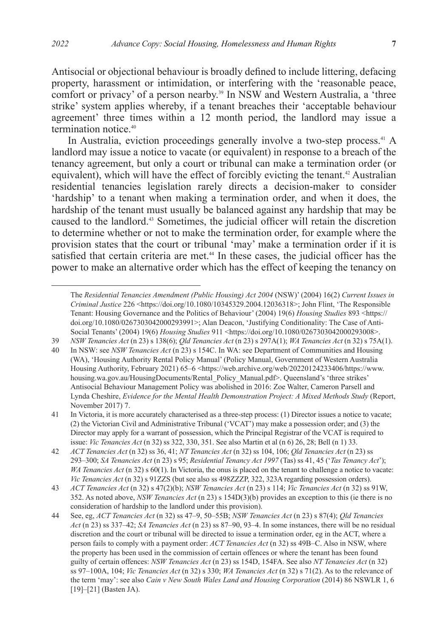Antisocial or objectional behaviour is broadly defined to include littering, defacing property, harassment or intimidation, or interfering with the 'reasonable peace, comfort or privacy' of a person nearby.<sup>39</sup> In NSW and Western Australia, a 'three strike' system applies whereby, if a tenant breaches their 'acceptable behaviour agreement' three times within a 12 month period, the landlord may issue a termination notice.40

In Australia, eviction proceedings generally involve a two-step process.<sup>41</sup> A landlord may issue a notice to vacate (or equivalent) in response to a breach of the tenancy agreement, but only a court or tribunal can make a termination order (or equivalent), which will have the effect of forcibly evicting the tenant.<sup>42</sup> Australian residential tenancies legislation rarely directs a decision-maker to consider 'hardship' to a tenant when making a termination order, and when it does, the hardship of the tenant must usually be balanced against any hardship that may be caused to the landlord.43 Sometimes, the judicial officer will retain the discretion to determine whether or not to make the termination order, for example where the provision states that the court or tribunal 'may' make a termination order if it is satisfied that certain criteria are met.<sup>44</sup> In these cases, the judicial officer has the power to make an alternative order which has the effect of keeping the tenancy on

39 *NSW Tenancies Act* (n 23) s 138(6); *Qld Tenancies Act* (n 23) s 297A(1); *WA Tenancies Act* (n 32) s 75A(1).

The *Residential Tenancies Amendment (Public Housing) Act 2004* (NSW)' (2004) 16(2) *Current Issues in Criminal Justice* 226 <https://doi.org/10.1080/10345329.2004.12036318>; John Flint, 'The Responsible Tenant: Housing Governance and the Politics of Behaviour' (2004) 19(6) *Housing Studies* 893 <https:// doi.org/10.1080/0267303042000293991>; Alan Deacon, 'Justifying Conditionality: The Case of Anti-Social Tenants' (2004) 19(6) *Housing Studies* 911 <https://doi.org/10.1080/0267303042000293008>.

<sup>40</sup> In NSW: see *NSW Tenancies Act* (n 23) s 154C. In WA: see Department of Communities and Housing (WA), 'Housing Authority Rental Policy Manual' (Policy Manual, Government of Western Australia Housing Authority, February 2021) 65–6 <https://web.archive.org/web/20220124233406/https://www. housing.wa.gov.au/HousingDocuments/Rental\_Policy\_Manual.pdf>. Queensland's 'three strikes' Antisocial Behaviour Management Policy was abolished in 2016: Zoe Walter, Cameron Parsell and Lynda Cheshire, *Evidence for the Mental Health Demonstration Project: A Mixed Methods Study* (Report, November 2017) 7.

<sup>41</sup> In Victoria, it is more accurately characterised as a three-step process: (1) Director issues a notice to vacate; (2) the Victorian Civil and Administrative Tribunal ('VCAT') may make a possession order; and (3) the Director may apply for a warrant of possession, which the Principal Registrar of the VCAT is required to issue: *Vic Tenancies Act* (n 32) ss 322, 330, 351. See also Martin et al (n 6) 26, 28; Bell (n 1) 33.

<sup>42</sup> *ACT Tenancies Act* (n 32) ss 36, 41; *NT Tenancies Act* (n 32) ss 104, 106; *Qld Tenancies Act* (n 23) ss 293–300; *SA Tenancies Act* (n 23) s 95; *Residential Tenancy Act 1997* (Tas) ss 41, 45 ('*Tas Tenancy Act*'); *WA Tenancies Act* (n 32) s 60(1). In Victoria, the onus is placed on the tenant to challenge a notice to vacate: *Vic Tenancies Act* (n 32) s 91ZZS (but see also ss 498ZZZP, 322, 323A regarding possession orders).

<sup>43</sup> *ACT Tenancies Act* (n 32) s 47(2)(b); *NSW Tenancies Act* (n 23) s 114; *Vic Tenancies Act* (n 32) ss 91W, 352. As noted above, *NSW Tenancies Act* (n 23) s 154D(3)(b) provides an exception to this (ie there is no consideration of hardship to the landlord under this provision).

<sup>44</sup> See, eg, *ACT Tenancies Act* (n 32) ss 47–9, 50–55B; *NSW Tenancies Act* (n 23) s 87(4); *Qld Tenancies Act* (n 23) ss 337–42; *SA Tenancies Act* (n 23) ss 87–90, 93–4. In some instances, there will be no residual discretion and the court or tribunal will be directed to issue a termination order, eg in the ACT, where a person fails to comply with a payment order: *ACT Tenancies Act* (n 32) ss 49B–C. Also in NSW, where the property has been used in the commission of certain offences or where the tenant has been found guilty of certain offences: *NSW Tenancies Act* (n 23) ss 154D, 154FA. See also *NT Tenancies Act* (n 32) ss 97–100A, 104; *Vic Tenancies Act* (n 32) s 330; *WA Tenancies Act* (n 32) s 71(2). As to the relevance of the term 'may': see also *Cain v New South Wales Land and Housing Corporation* (2014) 86 NSWLR 1, 6 [19]–[21] (Basten JA).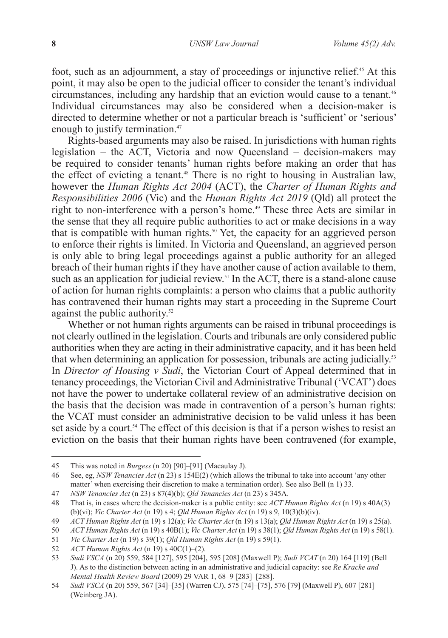foot, such as an adjournment, a stay of proceedings or injunctive relief.45 At this point, it may also be open to the judicial officer to consider the tenant's individual circumstances, including any hardship that an eviction would cause to a tenant.<sup>46</sup> Individual circumstances may also be considered when a decision-maker is directed to determine whether or not a particular breach is 'sufficient' or 'serious' enough to justify termination.<sup>47</sup>

Rights-based arguments may also be raised. In jurisdictions with human rights legislation – the ACT, Victoria and now Queensland – decision-makers may be required to consider tenants' human rights before making an order that has the effect of evicting a tenant.<sup>48</sup> There is no right to housing in Australian law, however the *Human Rights Act 2004* (ACT), the *Charter of Human Rights and Responsibilities 2006* (Vic) and the *Human Rights Act 2019* (Qld) all protect the right to non-interference with a person's home.<sup>49</sup> These three Acts are similar in the sense that they all require public authorities to act or make decisions in a way that is compatible with human rights.<sup>50</sup> Yet, the capacity for an aggrieved person to enforce their rights is limited. In Victoria and Queensland, an aggrieved person is only able to bring legal proceedings against a public authority for an alleged breach of their human rights if they have another cause of action available to them, such as an application for judicial review.<sup>51</sup> In the ACT, there is a stand-alone cause of action for human rights complaints: a person who claims that a public authority has contravened their human rights may start a proceeding in the Supreme Court against the public authority.<sup>52</sup>

Whether or not human rights arguments can be raised in tribunal proceedings is not clearly outlined in the legislation. Courts and tribunals are only considered public authorities when they are acting in their administrative capacity, and it has been held that when determining an application for possession, tribunals are acting judicially.<sup>53</sup> In *Director of Housing v Sudi*, the Victorian Court of Appeal determined that in tenancy proceedings, the Victorian Civil and Administrative Tribunal ('VCAT') does not have the power to undertake collateral review of an administrative decision on the basis that the decision was made in contravention of a person's human rights: the VCAT must consider an administrative decision to be valid unless it has been set aside by a court.<sup>54</sup> The effect of this decision is that if a person wishes to resist an eviction on the basis that their human rights have been contravened (for example,

<sup>45</sup> This was noted in *Burgess* (n 20) [90]–[91] (Macaulay J).

<sup>46</sup> See, eg, *NSW Tenancies Act* (n 23) s 154E(2) (which allows the tribunal to take into account 'any other matter' when exercising their discretion to make a termination order). See also Bell (n 1) 33.

<sup>47</sup> *NSW Tenancies Act* (n 23) s 87(4)(b); *Qld Tenancies Act* (n 23) s 345A.

<sup>48</sup> That is, in cases where the decision-maker is a public entity: see *ACT Human Rights Act* (n 19) s 40A(3) (b)(vi); *Vic Charter Act* (n 19) s 4; *Qld Human Rights Act* (n 19) s 9, 10(3)(b)(iv).

<sup>49</sup> *ACT Human Rights Act* (n 19) s 12(a); *Vic Charter Act* (n 19) s 13(a); *Qld Human Rights Act* (n 19) s 25(a).

<sup>50</sup> *ACT Human Rights Act* (n 19) s 40B(1); *Vic Charter Act* (n 19) s 38(1); *Qld Human Rights Act* (n 19) s 58(1).

<sup>51</sup> *Vic Charter Act* (n 19) s 39(1); *Qld Human Rights Act* (n 19) s 59(1).

<sup>52</sup> *ACT Human Rights Act* (n 19) s 40C(1)–(2).

<sup>53</sup> *Sudi VSCA* (n 20) 559, 584 [127], 595 [204], 595 [208] (Maxwell P); *Sudi VCAT* (n 20) 164 [119] (Bell J). As to the distinction between acting in an administrative and judicial capacity: see *Re Kracke and Mental Health Review Board* (2009) 29 VAR 1, 68–9 [283]–[288].

<sup>54</sup> *Sudi VSCA* (n 20) 559, 567 [34]–[35] (Warren CJ), 575 [74]–[75], 576 [79] (Maxwell P), 607 [281] (Weinberg JA).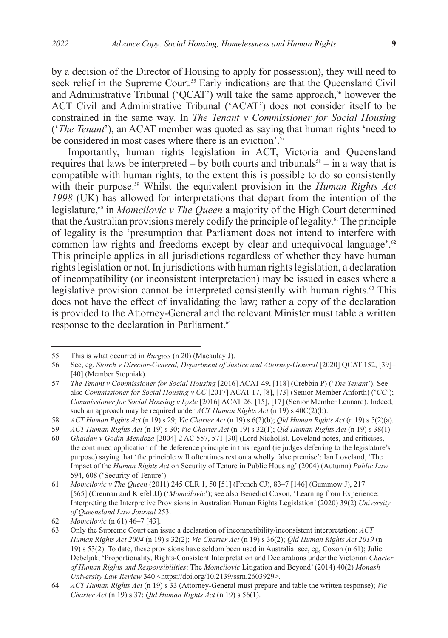by a decision of the Director of Housing to apply for possession), they will need to

seek relief in the Supreme Court.<sup>55</sup> Early indications are that the Queensland Civil and Administrative Tribunal ('QCAT') will take the same approach, $56$  however the ACT Civil and Administrative Tribunal ('ACAT') does not consider itself to be constrained in the same way. In *The Tenant v Commissioner for Social Housing* ('*The Tenant*'), an ACAT member was quoted as saying that human rights 'need to be considered in most cases where there is an eviction'.<sup>57</sup>

Importantly, human rights legislation in ACT, Victoria and Queensland requires that laws be interpreted – by both courts and tribunals<sup>58</sup> – in a way that is compatible with human rights, to the extent this is possible to do so consistently with their purpose.<sup>59</sup> Whilst the equivalent provision in the *Human Rights Act 1998* (UK) has allowed for interpretations that depart from the intention of the legislature,<sup>60</sup> in *Momcilovic v The Queen* a majority of the High Court determined that the Australian provisions merely codify the principle of legality.<sup>61</sup> The principle of legality is the 'presumption that Parliament does not intend to interfere with common law rights and freedoms except by clear and unequivocal language'.<sup>62</sup> This principle applies in all jurisdictions regardless of whether they have human rights legislation or not. In jurisdictions with human rights legislation, a declaration of incompatibility (or inconsistent interpretation) may be issued in cases where a legislative provision cannot be interpreted consistently with human rights.<sup>63</sup> This does not have the effect of invalidating the law; rather a copy of the declaration is provided to the Attorney-General and the relevant Minister must table a written response to the declaration in Parliament.<sup>64</sup>

<sup>55</sup> This is what occurred in *Burgess* (n 20) (Macaulay J).<br>56 See, eg. *Storch v Director-General*, *Department of Just* 

<sup>56</sup> See, eg, *Storch v Director-General, Department of Justice and Attorney-General* [2020] QCAT 152, [39]– [40] (Member Stepniak).

<sup>57</sup> *The Tenant v Commissioner for Social Housing* [2016] ACAT 49, [118] (Crebbin P) ('*The Tenant*'). See also *Commissioner for Social Housing v CC* [2017] ACAT 17, [8], [73] (Senior Member Anforth) ('*CC*'); *Commissioner for Social Housing v Lysle* [2016] ACAT 26, [15], [17] (Senior Member Lennard). Indeed, such an approach may be required under *ACT Human Rights Act* (n 19) s 40C(2)(b).

<sup>58</sup> *ACT Human Rights Act* (n 19) s 29; *Vic Charter Act* (n 19) s 6(2)(b); *Qld Human Rights Act* (n 19) s 5(2)(a).

<sup>59</sup> *ACT Human Rights Act* (n 19) s 30; *Vic Charter Act* (n 19) s 32(1); *Qld Human Rights Act* (n 19) s 38(1).

<sup>60</sup> *Ghaidan v Godin-Mendoza* [2004] 2 AC 557, 571 [30] (Lord Nicholls). Loveland notes, and criticises, the continued application of the deference principle in this regard (ie judges deferring to the legislature's purpose) saying that 'the principle will oftentimes rest on a wholly false premise': Ian Loveland, 'The Impact of the *Human Rights Act* on Security of Tenure in Public Housing' (2004) (Autumn) *Public Law*  594, 608 ('Security of Tenure').

<sup>61</sup> *Momcilovic v The Queen* (2011) 245 CLR 1, 50 [51] (French CJ), 83–7 [146] (Gummow J), 217 [565] (Crennan and Kiefel JJ) ('*Momcilovic*'); see also Benedict Coxon, 'Learning from Experience: Interpreting the Interpretive Provisions in Australian Human Rights Legislation' (2020) 39(2) *University of Queensland Law Journal* 253.

<sup>62</sup> *Momcilovic* (n 61) 46–7 [43].

<sup>63</sup> Only the Supreme Court can issue a declaration of incompatibility/inconsistent interpretation: *ACT Human Rights Act 2004* (n 19) s 32(2); *Vic Charter Act* (n 19) s 36(2); *Qld Human Rights Act 2019* (n 19) s 53(2). To date, these provisions have seldom been used in Australia: see, eg, Coxon (n 61); Julie Debeljak, 'Proportionality, Rights-Consistent Interpretation and Declarations under the Victorian *Charter of Human Rights and Responsibilities*: The *Momcilovic* Litigation and Beyond' (2014) 40(2) *Monash University Law Review* 340 <https://doi.org/10.2139/ssrn.2603929>.

<sup>64</sup> *ACT Human Rights Act* (n 19) s 33 (Attorney-General must prepare and table the written response); *Vic Charter Act* (n 19) s 37; *Qld Human Rights Act* (n 19) s 56(1).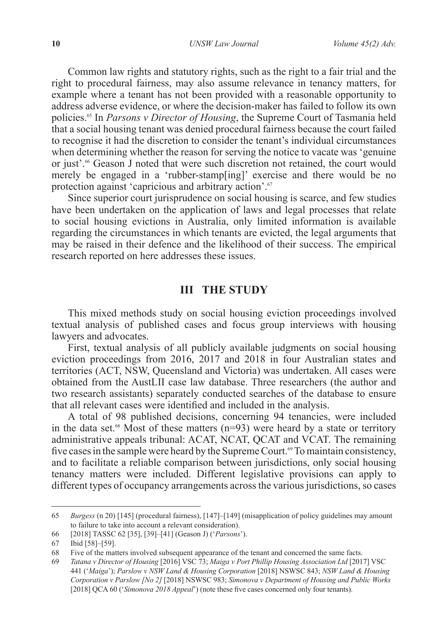Common law rights and statutory rights, such as the right to a fair trial and the right to procedural fairness, may also assume relevance in tenancy matters, for example where a tenant has not been provided with a reasonable opportunity to address adverse evidence, or where the decision-maker has failed to follow its own policies.65 In *Parsons v Director of Housing*, the Supreme Court of Tasmania held that a social housing tenant was denied procedural fairness because the court failed to recognise it had the discretion to consider the tenant's individual circumstances when determining whether the reason for serving the notice to vacate was 'genuine or just'.66 Geason J noted that were such discretion not retained, the court would merely be engaged in a 'rubber-stamp[ing]' exercise and there would be no protection against 'capricious and arbitrary action'.<sup>67</sup>

Since superior court jurisprudence on social housing is scarce, and few studies have been undertaken on the application of laws and legal processes that relate to social housing evictions in Australia, only limited information is available regarding the circumstances in which tenants are evicted, the legal arguments that may be raised in their defence and the likelihood of their success. The empirical research reported on here addresses these issues.

## **III THE STUDY**

This mixed methods study on social housing eviction proceedings involved textual analysis of published cases and focus group interviews with housing lawyers and advocates.

First, textual analysis of all publicly available judgments on social housing eviction proceedings from 2016, 2017 and 2018 in four Australian states and territories (ACT, NSW, Queensland and Victoria) was undertaken. All cases were obtained from the AustLII case law database. Three researchers (the author and two research assistants) separately conducted searches of the database to ensure that all relevant cases were identified and included in the analysis.

A total of 98 published decisions, concerning 94 tenancies, were included in the data set.<sup>68</sup> Most of these matters ( $n=93$ ) were heard by a state or territory administrative appeals tribunal: ACAT, NCAT, QCAT and VCAT. The remaining five cases in the sample were heard by the Supreme Court.<sup>69</sup> To maintain consistency, and to facilitate a reliable comparison between jurisdictions, only social housing tenancy matters were included. Different legislative provisions can apply to different types of occupancy arrangements across the various jurisdictions, so cases

<sup>65</sup> *Burgess* (n 20) [145] (procedural fairness), [147]–[149] (misapplication of policy guidelines may amount to failure to take into account a relevant consideration).

<sup>66</sup> [2018] TASSC 62 [35], [39]–[41] (Geason J) ('*Parsons*').

<sup>67</sup> Ibid [58]–[59].

<sup>68</sup> Five of the matters involved subsequent appearance of the tenant and concerned the same facts.

<sup>69</sup> *Tatana v Director of Housing* [2016] VSC 73; *Maiga v Port Phillip Housing Association Ltd* [2017] VSC 441 ('*Maiga*'); *Parslow v NSW Land & Housing Corporation* [2018] NSWSC 843; *NSW Land & Housing Corporation v Parslow [No 2]* [2018] NSWSC 983; *Simonova v Department of Housing and Public Works*  [2018] QCA 60 ('*Simonova 2018 Appeal*') (note these five cases concerned only four tenants).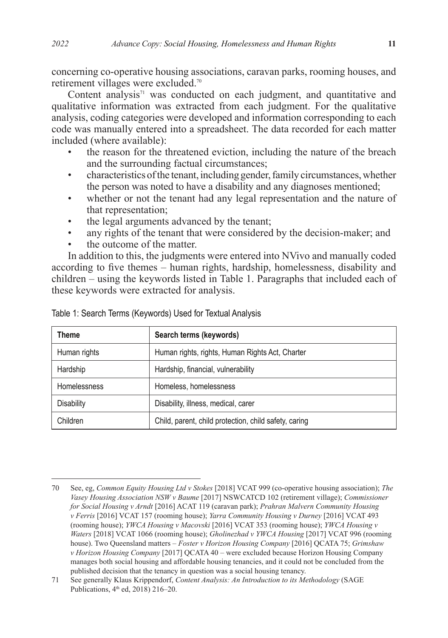concerning co-operative housing associations, caravan parks, rooming houses, and retirement villages were excluded.70

Content analysis $71$  was conducted on each judgment, and quantitative and qualitative information was extracted from each judgment. For the qualitative analysis, coding categories were developed and information corresponding to each code was manually entered into a spreadsheet. The data recorded for each matter included (where available):

- the reason for the threatened eviction, including the nature of the breach and the surrounding factual circumstances;
- characteristics of the tenant, including gender, family circumstances, whether the person was noted to have a disability and any diagnoses mentioned;
- whether or not the tenant had any legal representation and the nature of that representation;
- the legal arguments advanced by the tenant;
- any rights of the tenant that were considered by the decision-maker; and
- the outcome of the matter.

In addition to this, the judgments were entered into NVivo and manually coded according to five themes – human rights, hardship, homelessness, disability and children – using the keywords listed in Table 1. Paragraphs that included each of these keywords were extracted for analysis.

| Theme               | Search terms (keywords)                               |
|---------------------|-------------------------------------------------------|
| Human rights        | Human rights, rights, Human Rights Act, Charter       |
| Hardship            | Hardship, financial, vulnerability                    |
| <b>Homelessness</b> | Homeless, homelessness                                |
| Disability          | Disability, illness, medical, carer                   |
| Children            | Child, parent, child protection, child safety, caring |

Table 1: Search Terms (Keywords) Used for Textual Analysis

<sup>70</sup> See, eg, *Common Equity Housing Ltd v Stokes* [2018] VCAT 999 (co-operative housing association); *The Vasey Housing Association NSW v Baume* [2017] NSWCATCD 102 (retirement village); *Commissioner for Social Housing v Arndt* [2016] ACAT 119 (caravan park); *Prahran Malvern Community Housing v Ferris* [2016] VCAT 157 (rooming house); *Yarra Community Housing v Durney* [2016] VCAT 493 (rooming house); *YWCA Housing v Macovski* [2016] VCAT 353 (rooming house); *YWCA Housing v Waters* [2018] VCAT 1066 (rooming house); *Gholinezhad v YWCA Housing* [2017] VCAT 996 (rooming house). Two Queensland matters – *Foster v Horizon Housing Company* [2016] QCATA 75; *Grimshaw v Horizon Housing Company* [2017] QCATA 40 – were excluded because Horizon Housing Company manages both social housing and affordable housing tenancies, and it could not be concluded from the published decision that the tenancy in question was a social housing tenancy.

<sup>71</sup> See generally Klaus Krippendorf, *Content Analysis: An Introduction to its Methodology* (SAGE Publications, 4<sup>th</sup> ed, 2018) 216–20.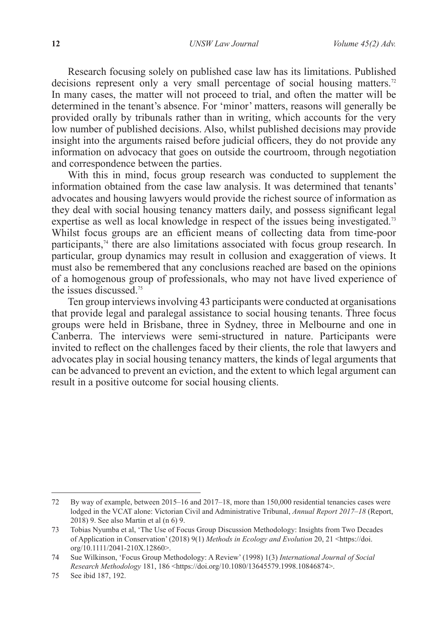Research focusing solely on published case law has its limitations. Published decisions represent only a very small percentage of social housing matters.<sup>72</sup> In many cases, the matter will not proceed to trial, and often the matter will be determined in the tenant's absence. For 'minor' matters, reasons will generally be provided orally by tribunals rather than in writing, which accounts for the very low number of published decisions. Also, whilst published decisions may provide insight into the arguments raised before judicial officers, they do not provide any information on advocacy that goes on outside the courtroom, through negotiation and correspondence between the parties.

With this in mind, focus group research was conducted to supplement the information obtained from the case law analysis. It was determined that tenants' advocates and housing lawyers would provide the richest source of information as they deal with social housing tenancy matters daily, and possess significant legal expertise as well as local knowledge in respect of the issues being investigated.<sup>73</sup> Whilst focus groups are an efficient means of collecting data from time-poor participants,<sup>74</sup> there are also limitations associated with focus group research. In particular, group dynamics may result in collusion and exaggeration of views. It must also be remembered that any conclusions reached are based on the opinions of a homogenous group of professionals, who may not have lived experience of the issues discussed.<sup>75</sup>

Ten group interviews involving 43 participants were conducted at organisations that provide legal and paralegal assistance to social housing tenants. Three focus groups were held in Brisbane, three in Sydney, three in Melbourne and one in Canberra. The interviews were semi-structured in nature. Participants were invited to reflect on the challenges faced by their clients, the role that lawyers and advocates play in social housing tenancy matters, the kinds of legal arguments that can be advanced to prevent an eviction, and the extent to which legal argument can result in a positive outcome for social housing clients.

<sup>72</sup> By way of example, between 2015–16 and 2017–18, more than 150,000 residential tenancies cases were lodged in the VCAT alone: Victorian Civil and Administrative Tribunal, *Annual Report 2017–18* (Report, 2018) 9. See also Martin et al (n 6) 9.

<sup>73</sup> Tobias Nyumba et al, 'The Use of Focus Group Discussion Methodology: Insights from Two Decades of Application in Conservation' (2018) 9(1) *Methods in Ecology and Evolution* 20, 21 <https://doi. org/10.1111/2041-210X.12860>.

<sup>74</sup> Sue Wilkinson, 'Focus Group Methodology: A Review' (1998) 1(3) *International Journal of Social Research Methodology* 181, 186 <https://doi.org/10.1080/13645579.1998.10846874>.

<sup>75</sup> See ibid 187, 192.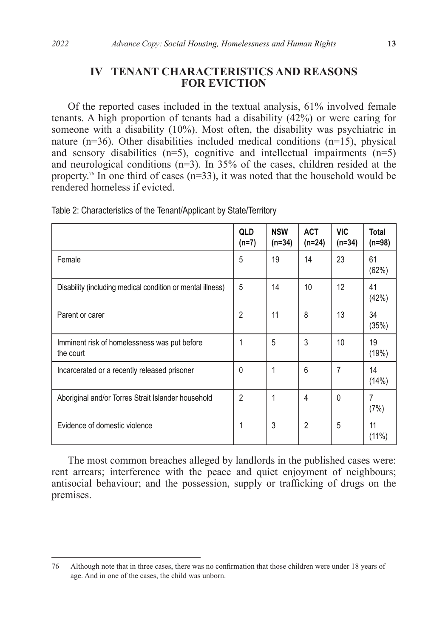# **IV TENANT CHARACTERISTICS AND REASONS FOR EVICTION**

Of the reported cases included in the textual analysis, 61% involved female tenants. A high proportion of tenants had a disability (42%) or were caring for someone with a disability (10%). Most often, the disability was psychiatric in nature ( $n=36$ ). Other disabilities included medical conditions ( $n=15$ ), physical and sensory disabilities  $(n=5)$ , cognitive and intellectual impairments  $(n=5)$ and neurological conditions  $(n=3)$ . In 35% of the cases, children resided at the property.<sup>76</sup> In one third of cases  $(n=33)$ , it was noted that the household would be rendered homeless if evicted.

|                                                            | <b>QLD</b><br>$(n=7)$ | <b>NSW</b><br>$(n=34)$ | <b>ACT</b><br>$(n=24)$ | VIC<br>$(n=34)$ | Total<br>$(n=98)$ |
|------------------------------------------------------------|-----------------------|------------------------|------------------------|-----------------|-------------------|
| Female                                                     | 5                     | 19                     | 14                     | 23              | 61<br>(62%)       |
| Disability (including medical condition or mental illness) | 5                     | 14                     | 10                     | 12              | 41<br>(42%)       |
| Parent or carer                                            | $\overline{2}$        | 11                     | 8                      | 13              | 34<br>(35%)       |
| Imminent risk of homelessness was put before<br>the court  | 1                     | 5                      | 3                      | 10              | 19<br>(19%)       |
| Incarcerated or a recently released prisoner               | 0                     | 1                      | 6                      | 7               | 14<br>(14%)       |
| Aboriginal and/or Torres Strait Islander household         | $\overline{2}$        | 1                      | 4                      | $\mathbf{0}$    | 7<br>(7%)         |
| Evidence of domestic violence                              | 1                     | 3                      | $\overline{2}$         | 5               | 11<br>$(11\%)$    |

Table 2: Characteristics of the Tenant/Applicant by State/Territory

The most common breaches alleged by landlords in the published cases were: rent arrears; interference with the peace and quiet enjoyment of neighbours; antisocial behaviour; and the possession, supply or trafficking of drugs on the premises.

<sup>76</sup> Although note that in three cases, there was no confirmation that those children were under 18 years of age. And in one of the cases, the child was unborn.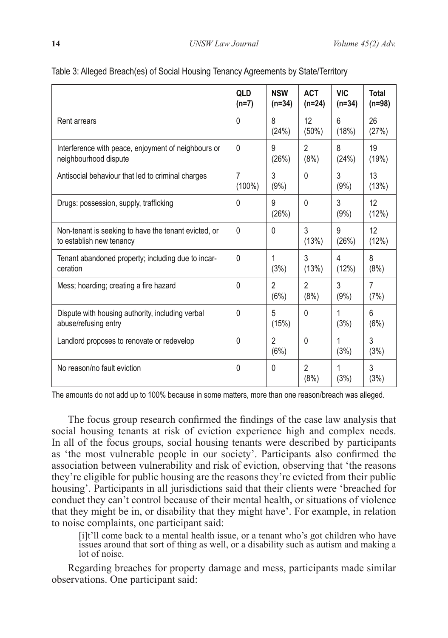|                                                                                  | <b>QLD</b><br>$(n=7)$       | <b>NSW</b><br>$(n=34)$ | <b>ACT</b><br>$(n=24)$      | <b>VIC</b><br>$(n=34)$ | Total<br>$(n=98)$      |
|----------------------------------------------------------------------------------|-----------------------------|------------------------|-----------------------------|------------------------|------------------------|
| <b>Rent arrears</b>                                                              | 0                           | 8<br>(24%)             | 12 <sup>°</sup><br>$(50\%)$ | 6<br>(18%)             | 26<br>(27%)            |
| Interference with peace, enjoyment of neighbours or<br>neighbourhood dispute     | $\Omega$                    | 9<br>(26%)             | $\mathfrak{p}$<br>(8%)      | 8<br>(24%)             | 19<br>(19%)            |
| Antisocial behaviour that led to criminal charges                                | $\overline{7}$<br>$(100\%)$ | 3<br>(9%)              | $\Omega$                    | 3<br>(9%)              | 13<br>(13%)            |
| Drugs: possession, supply, trafficking                                           | 0                           | 9<br>(26%)             | 0                           | 3<br>(9%)              | 12<br>(12%)            |
| Non-tenant is seeking to have the tenant evicted, or<br>to establish new tenancy | 0                           | 0                      | 3<br>(13%)                  | 9<br>(26%)             | 12<br>(12%)            |
| Tenant abandoned property; including due to incar-<br>ceration                   | 0                           | 1<br>(3%)              | 3<br>(13%)                  | 4<br>(12%)             | 8<br>(8%)              |
| Mess; hoarding; creating a fire hazard                                           | 0                           | $\overline{2}$<br>(6%) | $\overline{2}$<br>(8%)      | 3<br>(9% )             | $\overline{7}$<br>(7%) |
| Dispute with housing authority, including verbal<br>abuse/refusing entry         | 0                           | 5<br>(15%)             | $\Omega$                    | (3%)                   | 6<br>(6%)              |
| Landlord proposes to renovate or redevelop                                       | 0                           | 2<br>(6%)              | $\Omega$                    | 1<br>(3%)              | 3<br>(3%)              |
| No reason/no fault eviction                                                      | 0                           | 0                      | $\mathfrak{p}$<br>(8%)      | 1<br>(3%)              | 3<br>(3%)              |

#### Table 3: Alleged Breach(es) of Social Housing Tenancy Agreements by State/Territory

The amounts do not add up to 100% because in some matters, more than one reason/breach was alleged.

The focus group research confirmed the findings of the case law analysis that social housing tenants at risk of eviction experience high and complex needs. In all of the focus groups, social housing tenants were described by participants as 'the most vulnerable people in our society'. Participants also confirmed the association between vulnerability and risk of eviction, observing that 'the reasons they're eligible for public housing are the reasons they're evicted from their public housing'. Participants in all jurisdictions said that their clients were 'breached for conduct they can't control because of their mental health, or situations of violence that they might be in, or disability that they might have'. For example, in relation to noise complaints, one participant said:

[i]t'll come back to a mental health issue, or a tenant who's got children who have issues around that sort of thing as well, or a disability such as autism and making a lot of noise.

Regarding breaches for property damage and mess, participants made similar observations. One participant said: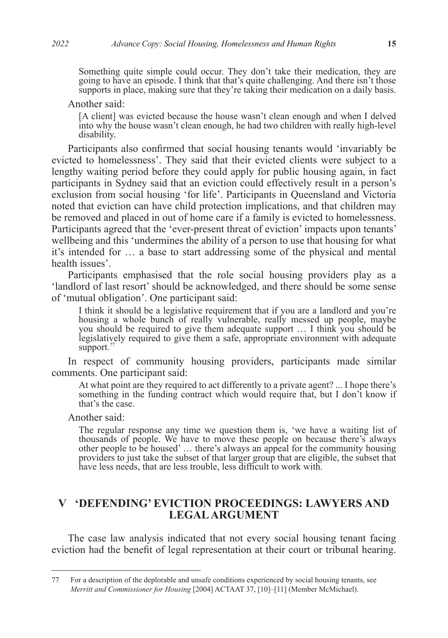Something quite simple could occur. They don't take their medication, they are going to have an episode. I think that that's quite challenging. And there isn't those supports in place, making sure that they're taking their medication on a daily basis.

Another said:

[A client] was evicted because the house wasn't clean enough and when I delved into why the house wasn't clean enough, he had two children with really high-level disability.

Participants also confirmed that social housing tenants would 'invariably be evicted to homelessness'. They said that their evicted clients were subject to a lengthy waiting period before they could apply for public housing again, in fact participants in Sydney said that an eviction could effectively result in a person's exclusion from social housing 'for life'. Participants in Queensland and Victoria noted that eviction can have child protection implications, and that children may be removed and placed in out of home care if a family is evicted to homelessness. Participants agreed that the 'ever-present threat of eviction' impacts upon tenants' wellbeing and this 'undermines the ability of a person to use that housing for what it's intended for … a base to start addressing some of the physical and mental health issues'.

Participants emphasised that the role social housing providers play as a 'landlord of last resort' should be acknowledged, and there should be some sense of 'mutual obligation'. One participant said:

I think it should be a legislative requirement that if you are a landlord and you're housing a whole bunch of really vulnerable, really messed up people, maybe you should be required to give them adequate support ... I think you should be legislatively required to give them a safe, appropriate environment with adequate support.<sup>77</sup>

In respect of community housing providers, participants made similar comments. One participant said:

At what point are they required to act differently to a private agent? ... I hope there's something in the funding contract which would require that, but I don't know if that's the case.

Another said:

The regular response any time we question them is, 'we have a waiting list of thousands of people. We have to move these people on because there's always other people to be housed' … there's always an appeal for the community housing providers to just take the subset of that larger group that are eligible, the subset that have less needs, that are less trouble, less difficult to work with.

# **V 'DEFENDING' EVICTION PROCEEDINGS: LAWYERS AND LEGAL ARGUMENT**

The case law analysis indicated that not every social housing tenant facing eviction had the benefit of legal representation at their court or tribunal hearing.

<sup>77</sup> For a description of the deplorable and unsafe conditions experienced by social housing tenants, see *Merritt and Commissioner for Housing* [2004] ACTAAT 37, [10]–[11] (Member McMichael).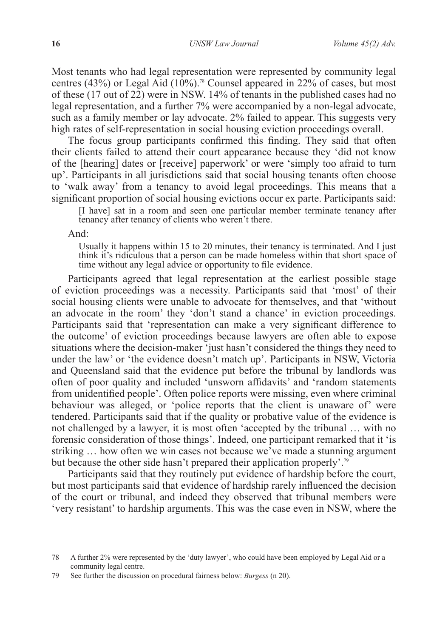Most tenants who had legal representation were represented by community legal centres (43%) or Legal Aid (10%).<sup>78</sup> Counsel appeared in 22% of cases, but most of these (17 out of 22) were in NSW. 14% of tenants in the published cases had no legal representation, and a further 7% were accompanied by a non-legal advocate, such as a family member or lay advocate. 2% failed to appear. This suggests very high rates of self-representation in social housing eviction proceedings overall.

The focus group participants confirmed this finding. They said that often their clients failed to attend their court appearance because they 'did not know of the [hearing] dates or [receive] paperwork' or were 'simply too afraid to turn up'. Participants in all jurisdictions said that social housing tenants often choose to 'walk away' from a tenancy to avoid legal proceedings. This means that a significant proportion of social housing evictions occur ex parte. Participants said:

[I have] sat in a room and seen one particular member terminate tenancy after tenancy after tenancy of clients who weren't there.

And:

Usually it happens within 15 to 20 minutes, their tenancy is terminated. And I just think it's ridiculous that a person can be made homeless within that short space of time without any legal advice or opportunity to file evidence.

Participants agreed that legal representation at the earliest possible stage of eviction proceedings was a necessity. Participants said that 'most' of their social housing clients were unable to advocate for themselves, and that 'without an advocate in the room' they 'don't stand a chance' in eviction proceedings. Participants said that 'representation can make a very significant difference to the outcome' of eviction proceedings because lawyers are often able to expose situations where the decision-maker 'just hasn't considered the things they need to under the law' or 'the evidence doesn't match up'. Participants in NSW, Victoria and Queensland said that the evidence put before the tribunal by landlords was often of poor quality and included 'unsworn affidavits' and 'random statements from unidentified people'. Often police reports were missing, even where criminal behaviour was alleged, or 'police reports that the client is unaware of' were tendered. Participants said that if the quality or probative value of the evidence is not challenged by a lawyer, it is most often 'accepted by the tribunal … with no forensic consideration of those things'. Indeed, one participant remarked that it 'is striking … how often we win cases not because we've made a stunning argument but because the other side hasn't prepared their application properly'.<sup>79</sup>

Participants said that they routinely put evidence of hardship before the court, but most participants said that evidence of hardship rarely influenced the decision of the court or tribunal, and indeed they observed that tribunal members were 'very resistant' to hardship arguments. This was the case even in NSW, where the

<sup>78</sup> A further 2% were represented by the 'duty lawyer', who could have been employed by Legal Aid or a community legal centre.

<sup>79</sup> See further the discussion on procedural fairness below: *Burgess* (n 20).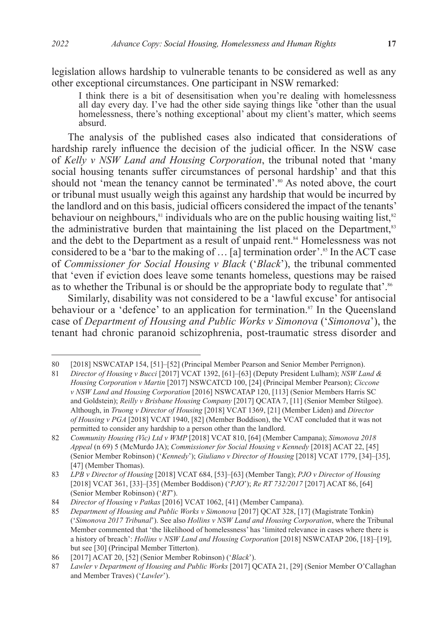legislation allows hardship to vulnerable tenants to be considered as well as any other exceptional circumstances. One participant in NSW remarked:

I think there is a bit of desensitisation when you're dealing with homelessness all day every day. I've had the other side saying things like 'other than the usual homelessness, there's nothing exceptional' about my client's matter, which seems absurd.

The analysis of the published cases also indicated that considerations of hardship rarely influence the decision of the judicial officer. In the NSW case of *Kelly v NSW Land and Housing Corporation*, the tribunal noted that 'many social housing tenants suffer circumstances of personal hardship' and that this should not 'mean the tenancy cannot be terminated'.<sup>80</sup> As noted above, the court or tribunal must usually weigh this against any hardship that would be incurred by the landlord and on this basis, judicial officers considered the impact of the tenants' behaviour on neighbours, $\frac{81}{3}$  individuals who are on the public housing waiting list,  $\frac{82}{3}$ the administrative burden that maintaining the list placed on the Department.<sup>83</sup> and the debt to the Department as a result of unpaid rent.<sup>84</sup> Homelessness was not considered to be a 'bar to the making of  $\ldots$  [a] termination order'.<sup>85</sup> In the ACT case of *Commissioner for Social Housing v Black* ('*Black*'), the tribunal commented that 'even if eviction does leave some tenants homeless, questions may be raised as to whether the Tribunal is or should be the appropriate body to regulate that'.<sup>86</sup>

Similarly, disability was not considered to be a 'lawful excuse' for antisocial behaviour or a 'defence' to an application for termination.<sup>87</sup> In the Queensland case of *Department of Housing and Public Works v Simonova* ('*Simonova*'), the tenant had chronic paranoid schizophrenia, post-traumatic stress disorder and

<sup>80</sup> [2018] NSWCATAP 154, [51]–[52] (Principal Member Pearson and Senior Member Perrignon).

<sup>81</sup> *Director of Housing v Bucci* [2017] VCAT 1392, [61]–[63] (Deputy President Lulham); *NSW Land & Housing Corporation v Martin* [2017] NSWCATCD 100, [24] (Principal Member Pearson); *Ciccone v NSW Land and Housing Corporation* [2016] NSWCATAP 120, [113] (Senior Members Harris SC and Goldstein); *Reilly v Brisbane Housing Company* [2017] QCATA 7, [11] (Senior Member Stilgoe). Although, in *Truong v Director of Housing* [2018] VCAT 1369, [21] (Member Liden) and *Director of Housing v PGA* [2018] VCAT 1940, [82] (Member Boddison), the VCAT concluded that it was not permitted to consider any hardship to a person other than the landlord.

<sup>82</sup> *Community Housing (Vic) Ltd v WMP* [2018] VCAT 810, [64] (Member Campana); *Simonova 2018 Appeal* (n 69) 5 (McMurdo JA); *Commissioner for Social Housing v Kennedy* [2018] ACAT 22, [45] (Senior Member Robinson) ('*Kennedy*'); *Giuliano v Director of Housing* [2018] VCAT 1779, [34]–[35], [47] (Member Thomas).

<sup>83</sup> *LPB v Director of Housing* [2018] VCAT 684, [53]–[63] (Member Tang); *PJO v Director of Housing*  [2018] VCAT 361, [33]–[35] (Member Boddison) ('*PJO*'); *Re RT 732/2017* [2017] ACAT 86, [64] (Senior Member Robinson) ('*RT*').

<sup>84</sup> *Director of Housing v Patkas* [2016] VCAT 1062, [41] (Member Campana).

<sup>85</sup> *Department of Housing and Public Works v Simonova* [2017] QCAT 328, [17] (Magistrate Tonkin) ('*Simonova 2017 Tribunal*'). See also *Hollins v NSW Land and Housing Corporation*, where the Tribunal Member commented that 'the likelihood of homelessness' has 'limited relevance in cases where there is a history of breach': *Hollins v NSW Land and Housing Corporation* [2018] NSWCATAP 206, [18]–[19], but see [30] (Principal Member Titterton).

<sup>86</sup> [2017] ACAT 20, [52] (Senior Member Robinson) ('*Black*').

<sup>87</sup> *Lawler v Department of Housing and Public Works* [2017] QCATA 21, [29] (Senior Member O'Callaghan and Member Traves) ('*Lawler*').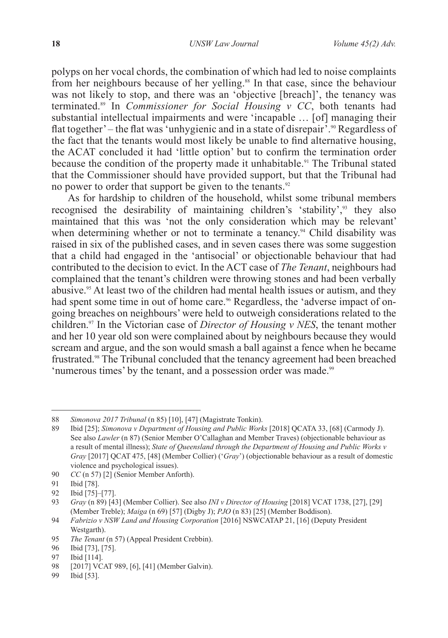polyps on her vocal chords, the combination of which had led to noise complaints from her neighbours because of her yelling.<sup>88</sup> In that case, since the behaviour was not likely to stop, and there was an 'objective [breach]', the tenancy was terminated.89 In *Commissioner for Social Housing v CC*, both tenants had substantial intellectual impairments and were 'incapable … [of] managing their flat together' – the flat was 'unhygienic and in a state of disrepair<sup>'</sup>.<sup>90</sup> Regardless of the fact that the tenants would most likely be unable to find alternative housing, the ACAT concluded it had 'little option' but to confirm the termination order because the condition of the property made it unhabitable.<sup>91</sup> The Tribunal stated that the Commissioner should have provided support, but that the Tribunal had no power to order that support be given to the tenants.<sup>92</sup>

As for hardship to children of the household, whilst some tribunal members recognised the desirability of maintaining children's 'stability',<sup>93</sup> they also maintained that this was 'not the only consideration which may be relevant' when determining whether or not to terminate a tenancy.<sup>94</sup> Child disability was raised in six of the published cases, and in seven cases there was some suggestion that a child had engaged in the 'antisocial' or objectionable behaviour that had contributed to the decision to evict. In the ACT case of *The Tenant*, neighbours had complained that the tenant's children were throwing stones and had been verbally abusive.<sup>95</sup> At least two of the children had mental health issues or autism, and they had spent some time in out of home care.<sup>96</sup> Regardless, the 'adverse impact of ongoing breaches on neighbours' were held to outweigh considerations related to the children.97 In the Victorian case of *Director of Housing v NES*, the tenant mother and her 10 year old son were complained about by neighbours because they would scream and argue, and the son would smash a ball against a fence when he became frustrated.98 The Tribunal concluded that the tenancy agreement had been breached 'numerous times' by the tenant, and a possession order was made.<sup>99</sup>

<sup>88</sup> *Simonova 2017 Tribunal* (n 85) [10], [47] (Magistrate Tonkin).

<sup>89</sup> Ibid [25]; *Simonova v Department of Housing and Public Works* [2018] QCATA 33, [68] (Carmody J). See also *Lawler* (n 87) (Senior Member O'Callaghan and Member Traves) (objectionable behaviour as a result of mental illness); *State of Queensland through the Department of Housing and Public Works v Gray* [2017] QCAT 475, [48] (Member Collier) ('*Gray*') (objectionable behaviour as a result of domestic violence and psychological issues).

<sup>90</sup> *CC* (n 57) [2] (Senior Member Anforth).

<sup>91</sup> Ibid [78].<br>92 Ibid [75]-

<sup>92</sup> Ibid [75]-[77].<br>93 *Gray* (n 89) [43]

<sup>93</sup> *Gray* (n 89) [43] (Member Collier). See also *INI v Director of Housing* [2018] VCAT 1738, [27], [29] (Member Treble); *Maiga* (n 69) [57] (Digby J); *PJO* (n 83) [25] (Member Boddison).

<sup>94</sup> *Fabrizio v NSW Land and Housing Corporation* [2016] NSWCATAP 21, [16] (Deputy President Westgarth).

<sup>95</sup> *The Tenant* (n 57) (Appeal President Crebbin).

<sup>96</sup> Ibid [73], [75].

<sup>97</sup> Ibid [114].

<sup>98</sup> [2017] VCAT 989, [6], [41] (Member Galvin).

<sup>99</sup> Ibid [53].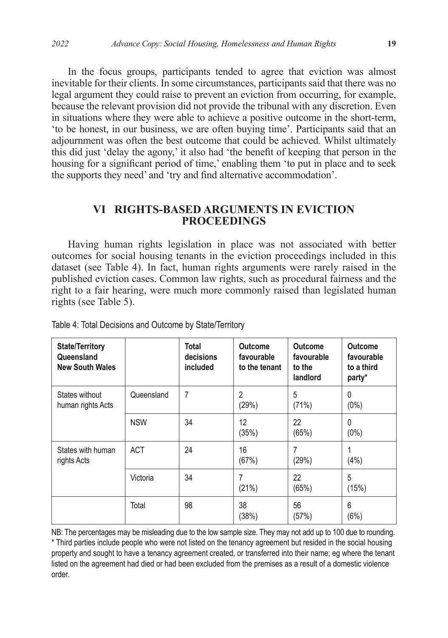In the focus groups, participants tended to agree that eviction was almost inevitable for their clients. In some circumstances, participants said that there was no legal argument they could raise to prevent an eviction from occurring, for example, because the relevant provision did not provide the tribunal with any discretion. Even in situations where they were able to achieve a positive outcome in the short-term, 'to be honest, in our business, we are often buying time'. Participants said that an adjournment was often the best outcome that could be achieved. Whilst ultimately this did just 'delay the agony,' it also had 'the benefit of keeping that person in the housing for a significant period of time,' enabling them 'to put in place and to seek the supports they need' and 'try and find alternative accommodation'.

# **VI RIGHTS-BASED ARGUMENTS IN EVICTION PROCEEDINGS**

Having human rights legislation in place was not associated with better outcomes for social housing tenants in the eviction proceedings included in this dataset (see Table 4). In fact, human rights arguments were rarely raised in the published eviction cases. Common law rights, such as procedural fairness and the right to a fair hearing, were much more commonly raised than legislated human rights (see Table 5).

| <b>State/Territory</b><br>Queensland<br><b>New South Wales</b> |            | Total<br>decisions<br>included | <b>Outcome</b><br>favourable<br>to the tenant | Outcome<br>favourable<br>to the<br>landlord | <b>Outcome</b><br>favourable<br>to a third<br>party* |
|----------------------------------------------------------------|------------|--------------------------------|-----------------------------------------------|---------------------------------------------|------------------------------------------------------|
| States without<br>human rights Acts                            | Queensland | 7                              | 2<br>(29%)                                    | 5<br>(71%)                                  | 0<br>$(0\%)$                                         |
|                                                                | <b>NSW</b> | 34                             | 12<br>(35%)                                   | 22<br>(65%)                                 | 0<br>$(0\%)$                                         |
| States with human<br>rights Acts                               | <b>ACT</b> | 24                             | 16<br>(67%)                                   | (29%)                                       | (4% )                                                |
|                                                                | Victoria   | 34                             | 7<br>(21%)                                    | 22<br>(65%)                                 | 5<br>(15%)                                           |
|                                                                | Total      | 98                             | 38<br>(38%)                                   | 56<br>(57%)                                 | 6<br>(6%)                                            |

Table 4: Total Decisions and Outcome by State/Territory

NB: The percentages may be misleading due to the low sample size. They may not add up to 100 due to rounding. \* Third parties include people who were not listed on the tenancy agreement but resided in the social housing property and sought to have a tenancy agreement created, or transferred into their name; eg where the tenant listed on the agreement had died or had been excluded from the premises as a result of a domestic violence order.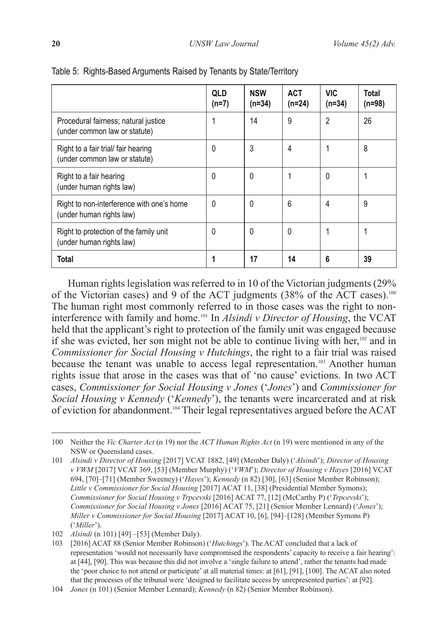|                                                                       | QLD<br>$(n=7)$ | <b>NSW</b><br>$(n=34)$ | <b>ACT</b><br>$(n=24)$ | <b>VIC</b><br>$(n=34)$ | Total<br>(n=98) |
|-----------------------------------------------------------------------|----------------|------------------------|------------------------|------------------------|-----------------|
| Procedural fairness; natural justice<br>(under common law or statute) | 1              | 14                     | 9                      | $\overline{2}$         | 26              |
| Right to a fair trial/ fair hearing<br>(under common law or statute)  | 0              | 3                      | 4                      |                        | 8               |
| Right to a fair hearing<br>(under human rights law)                   | 0              | 0                      | 1                      | 0                      |                 |
| Right to non-interference with one's home<br>(under human rights law) | 0              | 0                      | 6                      | 4                      | 9               |
| Right to protection of the family unit<br>(under human rights law)    | 0              | 0                      | 0                      | 1                      |                 |
| <b>Total</b>                                                          |                | 17                     | 14                     | 6                      | 39              |

#### Table 5: Rights-Based Arguments Raised by Tenants by State/Territory

Human rights legislation was referred to in 10 of the Victorian judgments (29% of the Victorian cases) and 9 of the ACT judgments (38% of the ACT cases).100 The human right most commonly referred to in those cases was the right to noninterference with family and home.101 In *Alsindi v Director of Housing*, the VCAT held that the applicant's right to protection of the family unit was engaged because if she was evicted, her son might not be able to continue living with her,102 and in *Commissioner for Social Housing v Hutchings*, the right to a fair trial was raised because the tenant was unable to access legal representation.<sup>103</sup> Another human rights issue that arose in the cases was that of 'no cause' evictions. In two ACT cases, *Commissioner for Social Housing v Jones* ('*Jones*') and *Commissioner for Social Housing v Kennedy* ('*Kennedy*'), the tenants were incarcerated and at risk of eviction for abandonment.104 Their legal representatives argued before the ACAT

<sup>100</sup> Neither the *Vic Charter Act* (n 19) nor the *ACT Human Rights Act* (n 19) were mentioned in any of the NSW or Queensland cases.

<sup>101</sup> *Alsindi v Director of Housing* [2017] VCAT 1882, [49] (Member Daly) ('*Alsindi*'); *Director of Housing v VWM* [2017] VCAT 369, [53] (Member Murphy) ('*VWM*'); *Director of Housing v Hayes* [2016] VCAT 694, [70]–[71] (Member Sweeney) ('*Hayes*'); *Kennedy* (n 82) [30], [63] (Senior Member Robinson); *Little v Commissioner for Social Housing* [2017] ACAT 11, [38] (Presidential Member Symons); *Commissioner for Social Housing v Trpcevski* [2016] ACAT 77, [12] (McCarthy P) ('*Trpcevski*'); *Commissioner for Social Housing v Jones* [2016] ACAT 75, [21] (Senior Member Lennard) ('*Jones*'); *Miller v Commissioner for Social Housing* [2017] ACAT 10, [6], [94]–[128] (Member Symons P) ('*Miller*').

<sup>102</sup> *Alsindi* (n 101) [49] –[53] (Member Daly).

<sup>103</sup> [2016] ACAT 88 (Senior Member Robinson) ('*Hutchings*'). The ACAT concluded that a lack of representation 'would not necessarily have compromised the respondents' capacity to receive a fair hearing': at [44], [90]. This was because this did not involve a 'single failure to attend', rather the tenants had made the 'poor choice to not attend or participate' at all material times: at [61], [91], [100]. The ACAT also noted that the processes of the tribunal were 'designed to facilitate access by unrepresented parties': at [92].

<sup>104</sup> *Jones* (n 101) (Senior Member Lennard); *Kennedy* (n 82) (Senior Member Robinson).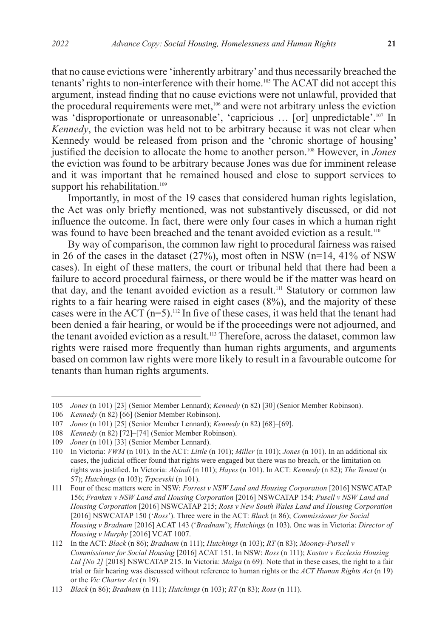that no cause evictions were 'inherently arbitrary' and thus necessarily breached the tenants' rights to non-interference with their home.105 The ACAT did not accept this argument, instead finding that no cause evictions were not unlawful, provided that the procedural requirements were met,<sup>106</sup> and were not arbitrary unless the eviction was 'disproportionate or unreasonable', 'capricious ... [or] unpredictable'.<sup>107</sup> In *Kennedy*, the eviction was held not to be arbitrary because it was not clear when Kennedy would be released from prison and the 'chronic shortage of housing' justified the decision to allocate the home to another person.108 However, in *Jones* the eviction was found to be arbitrary because Jones was due for imminent release and it was important that he remained housed and close to support services to support his rehabilitation.<sup>109</sup>

Importantly, in most of the 19 cases that considered human rights legislation, the Act was only briefly mentioned, was not substantively discussed, or did not influence the outcome. In fact, there were only four cases in which a human right was found to have been breached and the tenant avoided eviction as a result.<sup>110</sup>

By way of comparison, the common law right to procedural fairness was raised in 26 of the cases in the dataset (27%), most often in NSW (n=14, 41% of NSW cases). In eight of these matters, the court or tribunal held that there had been a failure to accord procedural fairness, or there would be if the matter was heard on that day, and the tenant avoided eviction as a result.<sup>111</sup> Statutory or common law rights to a fair hearing were raised in eight cases (8%), and the majority of these cases were in the ACT  $(n=5)$ .<sup>112</sup> In five of these cases, it was held that the tenant had been denied a fair hearing, or would be if the proceedings were not adjourned, and the tenant avoided eviction as a result.<sup>113</sup> Therefore, across the dataset, common law rights were raised more frequently than human rights arguments, and arguments based on common law rights were more likely to result in a favourable outcome for tenants than human rights arguments.

<sup>105</sup> *Jones* (n 101) [23] (Senior Member Lennard); *Kennedy* (n 82) [30] (Senior Member Robinson).

<sup>106</sup> *Kennedy* (n 82) [66] (Senior Member Robinson).

<sup>107</sup> *Jones* (n 101) [25] (Senior Member Lennard); *Kennedy* (n 82) [68]–[69].

<sup>108</sup> *Kennedy* (n 82) [72]–[74] (Senior Member Robinson).

<sup>109</sup> *Jones* (n 101) [33] (Senior Member Lennard).

<sup>110</sup> In Victoria: *VWM* (n 101)*.* In the ACT: *Little* (n 101); *Miller* (n 101); *Jones* (n 101). In an additional six cases, the judicial officer found that rights were engaged but there was no breach, or the limitation on rights was justified. In Victoria: *Alsindi* (n 101); *Hayes* (n 101). In ACT: *Kennedy* (n 82); *The Tenant* (n 57); *Hutchings* (n 103); *Trpcevski* (n 101).

<sup>111</sup> Four of these matters were in NSW: *Forrest v NSW Land and Housing Corporation* [2016] NSWCATAP 156; *Franken v NSW Land and Housing Corporation* [2016] NSWCATAP 154; *Pusell v NSW Land and Housing Corporation* [2016] NSWCATAP 215; *Ross v New South Wales Land and Housing Corporation*  [2016] NSWCATAP 150 ('*Ross*'). Three were in the ACT: *Black* (n 86); *Commissioner for Social Housing v Bradnam* [2016] ACAT 143 ('*Bradnam*'); *Hutchings* (n 103). One was in Victoria: *Director of Housing v Murphy* [2016] VCAT 1007.

<sup>112</sup> In the ACT: *Black* (n 86); *Bradnam* (n 111); *Hutchings* (n 103); *RT* (n 83); *Mooney-Pursell v Commissioner for Social Housing* [2016] ACAT 151. In NSW: *Ross* (n 111); *Kostov v Ecclesia Housing Ltd [No 2]* [2018] NSWCATAP 215. In Victoria: *Maiga* (n 69)*.* Note that in these cases, the right to a fair trial or fair hearing was discussed without reference to human rights or the *ACT Human Rights Act* (n 19) or the *Vic Charter Act* (n 19).

<sup>113</sup> *Black* (n 86); *Bradnam* (n 111); *Hutchings* (n 103); *RT* (n 83); *Ross* (n 111).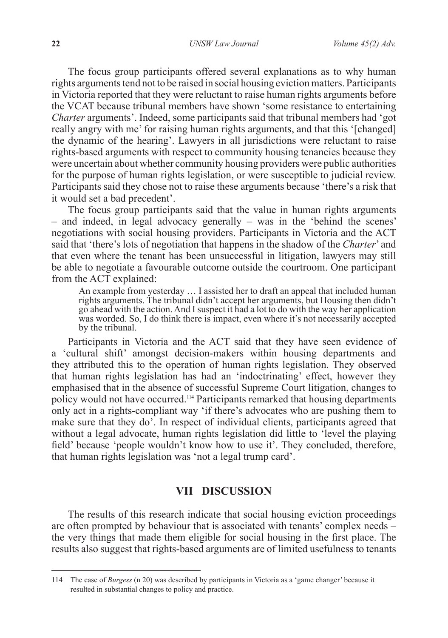The focus group participants offered several explanations as to why human rights arguments tend not to be raised in social housing eviction matters. Participants in Victoria reported that they were reluctant to raise human rights arguments before the VCAT because tribunal members have shown 'some resistance to entertaining *Charter* arguments'. Indeed, some participants said that tribunal members had 'got really angry with me' for raising human rights arguments, and that this '[changed] the dynamic of the hearing'. Lawyers in all jurisdictions were reluctant to raise rights-based arguments with respect to community housing tenancies because they were uncertain about whether community housing providers were public authorities for the purpose of human rights legislation, or were susceptible to judicial review. Participants said they chose not to raise these arguments because 'there's a risk that it would set a bad precedent'.

The focus group participants said that the value in human rights arguments – and indeed, in legal advocacy generally – was in the 'behind the scenes' negotiations with social housing providers. Participants in Victoria and the ACT said that 'there's lots of negotiation that happens in the shadow of the *Charter*' and that even where the tenant has been unsuccessful in litigation, lawyers may still be able to negotiate a favourable outcome outside the courtroom. One participant from the ACT explained:

An example from yesterday … I assisted her to draft an appeal that included human rights arguments. The tribunal didn't accept her arguments, but Housing then didn't go ahead with the action. And I suspect it had a lot to do with the way her application was worded. So, I do think there is impact, even where it's not necessarily accepted by the tribunal.

Participants in Victoria and the ACT said that they have seen evidence of a 'cultural shift' amongst decision-makers within housing departments and they attributed this to the operation of human rights legislation. They observed that human rights legislation has had an 'indoctrinating' effect, however they emphasised that in the absence of successful Supreme Court litigation, changes to policy would not have occurred.114 Participants remarked that housing departments only act in a rights-compliant way 'if there's advocates who are pushing them to make sure that they do'. In respect of individual clients, participants agreed that without a legal advocate, human rights legislation did little to 'level the playing field' because 'people wouldn't know how to use it'. They concluded, therefore, that human rights legislation was 'not a legal trump card'.

### **VII DISCUSSION**

The results of this research indicate that social housing eviction proceedings are often prompted by behaviour that is associated with tenants' complex needs – the very things that made them eligible for social housing in the first place. The results also suggest that rights-based arguments are of limited usefulness to tenants

<sup>114</sup> The case of *Burgess* (n 20) was described by participants in Victoria as a 'game changer' because it resulted in substantial changes to policy and practice.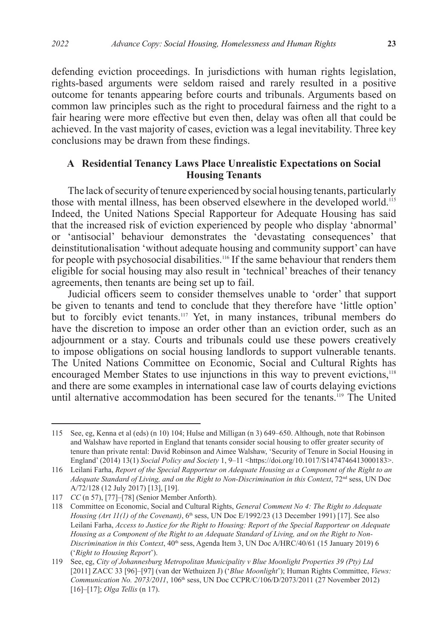defending eviction proceedings. In jurisdictions with human rights legislation, rights-based arguments were seldom raised and rarely resulted in a positive outcome for tenants appearing before courts and tribunals. Arguments based on common law principles such as the right to procedural fairness and the right to a fair hearing were more effective but even then, delay was often all that could be achieved. In the vast majority of cases, eviction was a legal inevitability. Three key conclusions may be drawn from these findings.

### **A Residential Tenancy Laws Place Unrealistic Expectations on Social Housing Tenants**

The lack of security of tenure experienced by social housing tenants, particularly those with mental illness, has been observed elsewhere in the developed world.<sup>115</sup> Indeed, the United Nations Special Rapporteur for Adequate Housing has said that the increased risk of eviction experienced by people who display 'abnormal' or 'antisocial' behaviour demonstrates the 'devastating consequences' that deinstitutionalisation 'without adequate housing and community support' can have for people with psychosocial disabilities.<sup>116</sup> If the same behaviour that renders them eligible for social housing may also result in 'technical' breaches of their tenancy agreements, then tenants are being set up to fail.

Judicial officers seem to consider themselves unable to 'order' that support be given to tenants and tend to conclude that they therefore have 'little option' but to forcibly evict tenants.117 Yet, in many instances, tribunal members do have the discretion to impose an order other than an eviction order, such as an adjournment or a stay. Courts and tribunals could use these powers creatively to impose obligations on social housing landlords to support vulnerable tenants. The United Nations Committee on Economic, Social and Cultural Rights has encouraged Member States to use injunctions in this way to prevent evictions,<sup>118</sup> and there are some examples in international case law of courts delaying evictions until alternative accommodation has been secured for the tenants.<sup>119</sup> The United

<sup>115</sup> See, eg, Kenna et al (eds) (n 10) 104; Hulse and Milligan (n 3) 649–650. Although, note that Robinson and Walshaw have reported in England that tenants consider social housing to offer greater security of tenure than private rental: David Robinson and Aimee Walshaw, 'Security of Tenure in Social Housing in England' (2014) 13(1) *Social Policy and Society* 1, 9–11 <https://doi.org/10.1017/S1474746413000183>.

<sup>116</sup> Leilani Farha, *Report of the Special Rapporteur on Adequate Housing as a Component of the Right to an Adequate Standard of Living, and on the Right to Non-Discrimination in this Context*, 72nd sess, UN Doc A/72/128 (12 July 2017) [13], [19].

<sup>117</sup> *CC* (n 57), [77]–[78] (Senior Member Anforth).

<sup>118</sup> Committee on Economic, Social and Cultural Rights, *General Comment No 4: The Right to Adequate Housing (Art 11(1) of the Covenant*), 6<sup>th</sup> sess, UN Doc E/1992/23 (13 December 1991) [17]. See also Leilani Farha, *Access to Justice for the Right to Housing: Report of the Special Rapporteur on Adequate Housing as a Component of the Right to an Adequate Standard of Living, and on the Right to Non-*Discrimination in this Context, 40<sup>th</sup> sess, Agenda Item 3, UN Doc A/HRC/40/61 (15 January 2019) 6 ('*Right to Housing Report*').

<sup>119</sup> See, eg, *City of Johannesburg Metropolitan Municipality v Blue Moonlight Properties 39 (Pty) Ltd*  [2011] ZACC 33 [96]–[97] (van der Wethuizen J) ('*Blue Moonlight*'); Human Rights Committee, *Views: Communication No. 2073/2011*, 106th sess, UN Doc CCPR/C/106/D/2073/2011 (27 November 2012) [16]–[17]; *Olga Tellis* (n 17).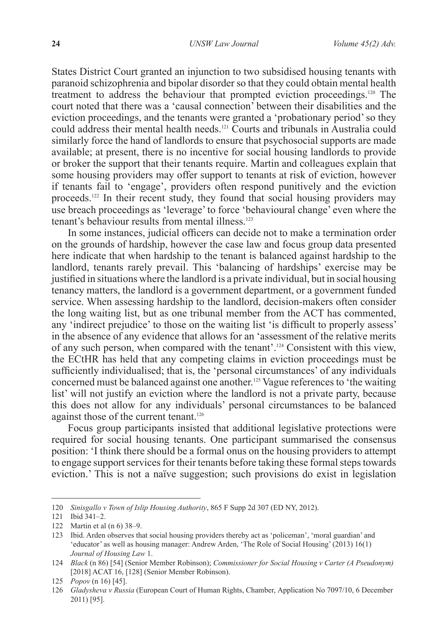States District Court granted an injunction to two subsidised housing tenants with paranoid schizophrenia and bipolar disorder so that they could obtain mental health treatment to address the behaviour that prompted eviction proceedings.120 The court noted that there was a 'causal connection' between their disabilities and the eviction proceedings, and the tenants were granted a 'probationary period' so they could address their mental health needs.121 Courts and tribunals in Australia could similarly force the hand of landlords to ensure that psychosocial supports are made available; at present, there is no incentive for social housing landlords to provide or broker the support that their tenants require. Martin and colleagues explain that some housing providers may offer support to tenants at risk of eviction, however if tenants fail to 'engage', providers often respond punitively and the eviction proceeds.122 In their recent study, they found that social housing providers may use breach proceedings as 'leverage' to force 'behavioural change' even where the tenant's behaviour results from mental illness<sup>123</sup>

In some instances, judicial officers can decide not to make a termination order on the grounds of hardship, however the case law and focus group data presented here indicate that when hardship to the tenant is balanced against hardship to the landlord, tenants rarely prevail. This 'balancing of hardships' exercise may be justified in situations where the landlord is a private individual, but in social housing tenancy matters, the landlord is a government department, or a government funded service. When assessing hardship to the landlord, decision-makers often consider the long waiting list, but as one tribunal member from the ACT has commented, any 'indirect prejudice' to those on the waiting list 'is difficult to properly assess' in the absence of any evidence that allows for an 'assessment of the relative merits of any such person, when compared with the tenant'.124 Consistent with this view, the ECtHR has held that any competing claims in eviction proceedings must be sufficiently individualised; that is, the 'personal circumstances' of any individuals concerned must be balanced against one another.<sup>125</sup> Vague references to 'the waiting list' will not justify an eviction where the landlord is not a private party, because this does not allow for any individuals' personal circumstances to be balanced against those of the current tenant.126

Focus group participants insisted that additional legislative protections were required for social housing tenants. One participant summarised the consensus position: 'I think there should be a formal onus on the housing providers to attempt to engage support services for their tenants before taking these formal steps towards eviction.' This is not a naïve suggestion; such provisions do exist in legislation

<sup>120</sup> *Sinisgallo v Town of Islip Housing Authority*, 865 F Supp 2d 307 (ED NY, 2012).

<sup>121</sup> Ibid 341–2.

<sup>122</sup> Martin et al (n 6) 38–9.

<sup>123</sup> Ibid. Arden observes that social housing providers thereby act as 'policeman', 'moral guardian' and 'educator' as well as housing manager: Andrew Arden, 'The Role of Social Housing' (2013) 16(1) *Journal of Housing Law* 1.

<sup>124</sup> *Black* (n 86) [54] (Senior Member Robinson); *Commissioner for Social Housing v Carter (A Pseudonym)*  [2018] ACAT 16, [128] (Senior Member Robinson).

<sup>125</sup> *Popov* (n 16) [45].

<sup>126</sup> *Gladysheva v Russia* (European Court of Human Rights, Chamber, Application No 7097/10, 6 December 2011) [95].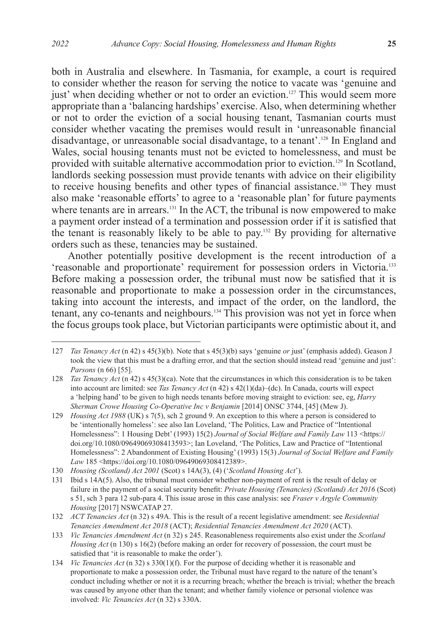both in Australia and elsewhere. In Tasmania, for example, a court is required to consider whether the reason for serving the notice to vacate was 'genuine and just' when deciding whether or not to order an eviction.<sup>127</sup> This would seem more appropriate than a 'balancing hardships' exercise. Also, when determining whether or not to order the eviction of a social housing tenant, Tasmanian courts must consider whether vacating the premises would result in 'unreasonable financial disadvantage, or unreasonable social disadvantage, to a tenant'.128 In England and Wales, social housing tenants must not be evicted to homelessness, and must be provided with suitable alternative accommodation prior to eviction.<sup>129</sup> In Scotland, landlords seeking possession must provide tenants with advice on their eligibility to receive housing benefits and other types of financial assistance.<sup>130</sup> They must also make 'reasonable efforts' to agree to a 'reasonable plan' for future payments where tenants are in arrears.<sup>131</sup> In the ACT, the tribunal is now empowered to make a payment order instead of a termination and possession order if it is satisfied that the tenant is reasonably likely to be able to pay.132 By providing for alternative orders such as these, tenancies may be sustained.

Another potentially positive development is the recent introduction of a 'reasonable and proportionate' requirement for possession orders in Victoria.<sup>133</sup> Before making a possession order, the tribunal must now be satisfied that it is reasonable and proportionate to make a possession order in the circumstances, taking into account the interests, and impact of the order, on the landlord, the tenant, any co-tenants and neighbours.134 This provision was not yet in force when the focus groups took place, but Victorian participants were optimistic about it, and

<sup>127</sup> *Tas Tenancy Act* (n 42) s 45(3)(b). Note that s 45(3)(b) says 'genuine *or* just' (emphasis added). Geason J took the view that this must be a drafting error, and that the section should instead read 'genuine and just': *Parsons* (n 66) [55].

<sup>128</sup> *Tas Tenancy Act* (n 42) s 45(3)(ca). Note that the circumstances in which this consideration is to be taken into account are limited: see *Tas Tenancy Act* (n 42) s 42(1)(da)–(dc). In Canada, courts will expect a 'helping hand' to be given to high needs tenants before moving straight to eviction: see, eg, *Harry Sherman Crowe Housing Co-Operative Inc v Benjamin* [2014] ONSC 3744, [45] (Mew J).

<sup>129</sup> *Housing Act 1988* (UK) s 7(5), sch 2 ground 9. An exception to this where a person is considered to be 'intentionally homeless': see also Ian Loveland, 'The Politics, Law and Practice of "Intentional Homelessness": 1 Housing Debt' (1993) 15(2) *Journal of Social Welfare and Family Law* 113 <https:// doi.org/10.1080/09649069308413593>; Ian Loveland, 'The Politics, Law and Practice of "Intentional Homelessness": 2 Abandonment of Existing Housing' (1993) 15(3) *Journal of Social Welfare and Family Law* 185 <https://doi.org/10.1080/09649069308412389>.

<sup>130</sup> *Housing (Scotland) Act 2001* (Scot) s 14A(3), (4) ('*Scotland Housing Act*').

<sup>131</sup> Ibid s 14A(5). Also, the tribunal must consider whether non-payment of rent is the result of delay or failure in the payment of a social security benefit: *Private Housing (Tenancies) (Scotland) Act 2016* (Scot) s 51, sch 3 para 12 sub-para 4. This issue arose in this case analysis: see *Fraser v Argyle Community Housing* [2017] NSWCATAP 27.

<sup>132</sup> *ACT Tenancies Act* (n 32) s 49A. This is the result of a recent legislative amendment: see *Residential Tenancies Amendment Act 2018* (ACT); *Residential Tenancies Amendment Act 2020* (ACT).

<sup>133</sup> *Vic Tenancies Amendment Act* (n 32) s 245. Reasonableness requirements also exist under the *Scotland Housing Act* (n 130) s 16(2) (before making an order for recovery of possession, the court must be satisfied that 'it is reasonable to make the order').

<sup>134</sup> *Vic Tenancies Act* (n 32) s 330(1)(f). For the purpose of deciding whether it is reasonable and proportionate to make a possession order, the Tribunal must have regard to the nature of the tenant's conduct including whether or not it is a recurring breach; whether the breach is trivial; whether the breach was caused by anyone other than the tenant; and whether family violence or personal violence was involved: *Vic Tenancies Act* (n 32) s 330A.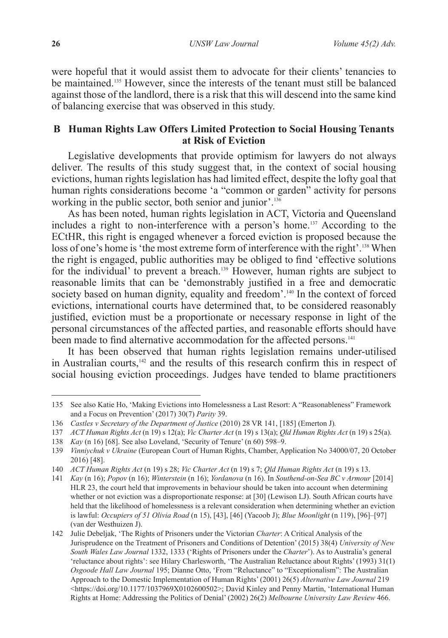were hopeful that it would assist them to advocate for their clients' tenancies to be maintained.<sup>135</sup> However, since the interests of the tenant must still be balanced against those of the landlord, there is a risk that this will descend into the same kind of balancing exercise that was observed in this study.

### **B Human Rights Law Offers Limited Protection to Social Housing Tenants at Risk of Eviction**

Legislative developments that provide optimism for lawyers do not always deliver. The results of this study suggest that, in the context of social housing evictions, human rights legislation has had limited effect, despite the lofty goal that human rights considerations become 'a "common or garden" activity for persons working in the public sector, both senior and junior'.<sup>136</sup>

As has been noted, human rights legislation in ACT, Victoria and Queensland includes a right to non-interference with a person's home.137 According to the ECtHR, this right is engaged whenever a forced eviction is proposed because the loss of one's home is 'the most extreme form of interference with the right'.<sup>138</sup> When the right is engaged, public authorities may be obliged to find 'effective solutions for the individual' to prevent a breach.<sup>139</sup> However, human rights are subject to reasonable limits that can be 'demonstrably justified in a free and democratic society based on human dignity, equality and freedom'.<sup>140</sup> In the context of forced evictions, international courts have determined that, to be considered reasonably justified, eviction must be a proportionate or necessary response in light of the personal circumstances of the affected parties, and reasonable efforts should have been made to find alternative accommodation for the affected persons.<sup>141</sup>

It has been observed that human rights legislation remains under-utilised in Australian courts, $142$  and the results of this research confirm this in respect of social housing eviction proceedings. Judges have tended to blame practitioners

<sup>135</sup> See also Katie Ho, 'Making Evictions into Homelessness a Last Resort: A "Reasonableness" Framework and a Focus on Prevention' (2017) 30(7) *Parity* 39.

<sup>136</sup> *Castles v Secretary of the Department of Justice* (2010) 28 VR 141, [185] (Emerton J)*.*

<sup>137</sup> *ACT Human Rights Act* (n 19) s 12(a); *Vic Charter Act* (n 19) s 13(a); *Qld Human Rights Act* (n 19) s 25(a).

<sup>138</sup> *Kay* (n 16) [68]. See also Loveland, 'Security of Tenure' (n 60) 598–9.

<sup>139</sup> *Vinniychuk v Ukraine* (European Court of Human Rights, Chamber, Application No 34000/07, 20 October 2016) [48].

<sup>140</sup> *ACT Human Rights Act* (n 19) s 28; *Vic Charter Act* (n 19) s 7; *Qld Human Rights Act* (n 19) s 13.

<sup>141</sup> *Kay* (n 16); *Popov* (n 16); *Winterstein* (n 16); *Yordanova* (n 16). In *Southend-on-Sea BC v Armour* [2014] HLR 23, the court held that improvements in behaviour should be taken into account when determining whether or not eviction was a disproportionate response: at [30] (Lewison LJ). South African courts have held that the likelihood of homelessness is a relevant consideration when determining whether an eviction is lawful: *Occupiers of 51 Olivia Road* (n 15), [43], [46] (Yacoob J); *Blue Moonlight* (n 119), [96]–[97] (van der Westhuizen J).

<sup>142</sup> Julie Debeljak, 'The Rights of Prisoners under the Victorian *Charter*: A Critical Analysis of the Jurisprudence on the Treatment of Prisoners and Conditions of Detention' (2015) 38(4) *University of New South Wales Law Journal* 1332, 1333 ('Rights of Prisoners under the *Charter*'). As to Australia's general 'reluctance about rights': see Hilary Charlesworth, 'The Australian Reluctance about Rights' (1993) 31(1) *Osgoode Hall Law Journal* 195; Dianne Otto, 'From "Reluctance" to "Exceptionalism": The Australian Approach to the Domestic Implementation of Human Rights' (2001) 26(5) *Alternative Law Journal* 219 <https://doi.org/10.1177/1037969X0102600502>; David Kinley and Penny Martin, 'International Human Rights at Home: Addressing the Politics of Denial' (2002) 26(2) *Melbourne University Law Review* 466.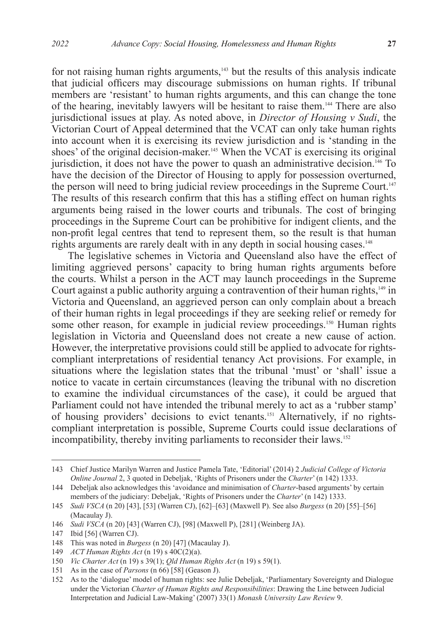for not raising human rights arguments,<sup>143</sup> but the results of this analysis indicate that judicial officers may discourage submissions on human rights. If tribunal members are 'resistant' to human rights arguments, and this can change the tone of the hearing, inevitably lawyers will be hesitant to raise them.144 There are also jurisdictional issues at play. As noted above, in *Director of Housing v Sudi*, the Victorian Court of Appeal determined that the VCAT can only take human rights into account when it is exercising its review jurisdiction and is 'standing in the shoes' of the original decision-maker.<sup>145</sup> When the VCAT is exercising its original jurisdiction, it does not have the power to quash an administrative decision.146 To have the decision of the Director of Housing to apply for possession overturned, the person will need to bring judicial review proceedings in the Supreme Court.<sup>147</sup> The results of this research confirm that this has a stifling effect on human rights arguments being raised in the lower courts and tribunals. The cost of bringing proceedings in the Supreme Court can be prohibitive for indigent clients, and the non-profit legal centres that tend to represent them, so the result is that human rights arguments are rarely dealt with in any depth in social housing cases.<sup>148</sup>

The legislative schemes in Victoria and Queensland also have the effect of limiting aggrieved persons' capacity to bring human rights arguments before the courts. Whilst a person in the ACT may launch proceedings in the Supreme Court against a public authority arguing a contravention of their human rights,<sup>149</sup> in Victoria and Queensland, an aggrieved person can only complain about a breach of their human rights in legal proceedings if they are seeking relief or remedy for some other reason, for example in judicial review proceedings.<sup>150</sup> Human rights legislation in Victoria and Queensland does not create a new cause of action. However, the interpretative provisions could still be applied to advocate for rightscompliant interpretations of residential tenancy Act provisions. For example, in situations where the legislation states that the tribunal 'must' or 'shall' issue a notice to vacate in certain circumstances (leaving the tribunal with no discretion to examine the individual circumstances of the case), it could be argued that Parliament could not have intended the tribunal merely to act as a 'rubber stamp' of housing providers' decisions to evict tenants.151 Alternatively, if no rightscompliant interpretation is possible, Supreme Courts could issue declarations of incompatibility, thereby inviting parliaments to reconsider their laws.<sup>152</sup>

<sup>143</sup> Chief Justice Marilyn Warren and Justice Pamela Tate, 'Editorial' (2014) 2 *Judicial College of Victoria Online Journal* 2, 3 quoted in Debeljak, 'Rights of Prisoners under the *Charter*' (n 142) 1333.

<sup>144</sup> Debeljak also acknowledges this 'avoidance and minimisation of *Charter*-based arguments' by certain members of the judiciary: Debeljak, 'Rights of Prisoners under the *Charter*' (n 142) 1333.

<sup>145</sup> *Sudi VSCA* (n 20) [43], [53] (Warren CJ), [62]–[63] (Maxwell P). See also *Burgess* (n 20) [55]–[56] (Macaulay J).

<sup>146</sup> *Sudi VSCA* (n 20) [43] (Warren CJ), [98] (Maxwell P), [281] (Weinberg JA).

<sup>147</sup> Ibid [56] (Warren CJ).

<sup>148</sup> This was noted in *Burgess* (n 20) [47] (Macaulay J).

<sup>149</sup> *ACT Human Rights Act* (n 19) s 40C(2)(a).

<sup>150</sup> *Vic Charter Act* (n 19) s 39(1); *Qld Human Rights Act* (n 19) s 59(1).

<sup>151</sup> As in the case of *Parsons* (n 66) [58] (Geason J).

<sup>152</sup> As to the 'dialogue' model of human rights: see Julie Debeljak, 'Parliamentary Sovereignty and Dialogue under the Victorian *Charter of Human Rights and Responsibilities*: Drawing the Line between Judicial Interpretation and Judicial Law-Making' (2007) 33(1) *Monash University Law Review* 9.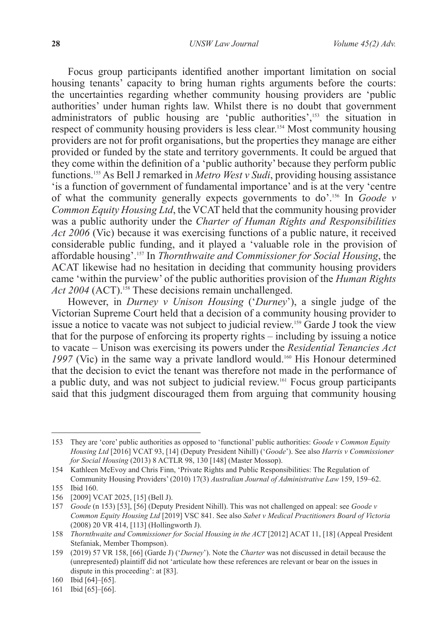Focus group participants identified another important limitation on social housing tenants' capacity to bring human rights arguments before the courts: the uncertainties regarding whether community housing providers are 'public authorities' under human rights law. Whilst there is no doubt that government administrators of public housing are 'public authorities',<sup>153</sup> the situation in respect of community housing providers is less clear.<sup>154</sup> Most community housing providers are not for profit organisations, but the properties they manage are either provided or funded by the state and territory governments. It could be argued that they come within the definition of a 'public authority' because they perform public functions.155 As Bell J remarked in *Metro West v Sudi*, providing housing assistance 'is a function of government of fundamental importance' and is at the very 'centre of what the community generally expects governments to do'.156 In *Goode v Common Equity Housing Ltd*, the VCAT held that the community housing provider was a public authority under the *Charter of Human Rights and Responsibilities Act 2006* (Vic) because it was exercising functions of a public nature, it received considerable public funding, and it played a 'valuable role in the provision of affordable housing'.157 In *Thornthwaite and Commissioner for Social Housing*, the ACAT likewise had no hesitation in deciding that community housing providers came 'within the purview' of the public authorities provision of the *Human Rights Act 2004* (ACT).<sup>158</sup> These decisions remain unchallenged.

However, in *Durney v Unison Housing* ('*Durney*'), a single judge of the Victorian Supreme Court held that a decision of a community housing provider to issue a notice to vacate was not subject to judicial review.159 Garde J took the view that for the purpose of enforcing its property rights – including by issuing a notice to vacate – Unison was exercising its powers under the *Residential Tenancies Act*  1997 (Vic) in the same way a private landlord would.<sup>160</sup> His Honour determined that the decision to evict the tenant was therefore not made in the performance of a public duty, and was not subject to judicial review.161 Focus group participants said that this judgment discouraged them from arguing that community housing

161 Ibid [65]–[66].

<sup>153</sup> They are 'core' public authorities as opposed to 'functional' public authorities: *Goode v Common Equity Housing Ltd* [2016] VCAT 93, [14] (Deputy President Nihill) ('*Goode*'). See also *Harris v Commissioner for Social Housing* (2013) 8 ACTLR 98, 130 [148] (Master Mossop).

<sup>154</sup> Kathleen McEvoy and Chris Finn, 'Private Rights and Public Responsibilities: The Regulation of Community Housing Providers' (2010) 17(3) *Australian Journal of Administrative Law* 159, 159–62.

<sup>155</sup> Ibid 160.

<sup>156</sup> [2009] VCAT 2025, [15] (Bell J).

<sup>157</sup> *Goode* (n 153) [53], [56] (Deputy President Nihill). This was not challenged on appeal: see *Goode v Common Equity Housing Ltd* [2019] VSC 841. See also *Sabet v Medical Practitioners Board of Victoria*  (2008) 20 VR 414, [113] (Hollingworth J).

<sup>158</sup> *Thornthwaite and Commissioner for Social Housing in the ACT* [2012] ACAT 11, [18] (Appeal President Stefaniak, Member Thompson).

<sup>159</sup> (2019) 57 VR 158, [66] (Garde J) ('*Durney*'). Note the *Charter* was not discussed in detail because the (unrepresented) plaintiff did not 'articulate how these references are relevant or bear on the issues in dispute in this proceeding': at [83].

<sup>160</sup> Ibid [64]–[65].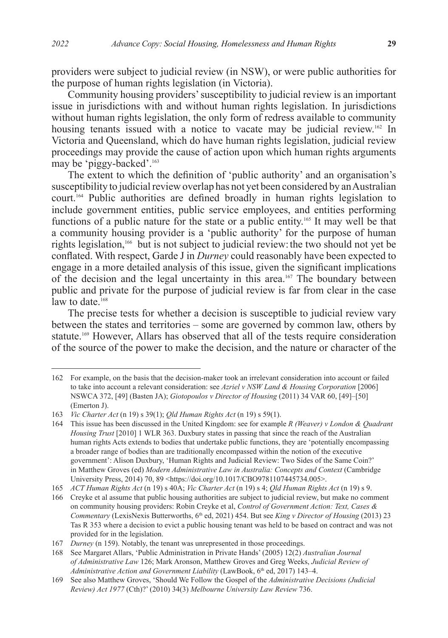providers were subject to judicial review (in NSW), or were public authorities for the purpose of human rights legislation (in Victoria).

Community housing providers' susceptibility to judicial review is an important issue in jurisdictions with and without human rights legislation. In jurisdictions without human rights legislation, the only form of redress available to community housing tenants issued with a notice to vacate may be judicial review.<sup>162</sup> In Victoria and Queensland, which do have human rights legislation, judicial review proceedings may provide the cause of action upon which human rights arguments may be 'piggy-backed'.163

The extent to which the definition of 'public authority' and an organisation's susceptibility to judicial review overlap has not yet been considered by an Australian court.164 Public authorities are defined broadly in human rights legislation to include government entities, public service employees, and entities performing functions of a public nature for the state or a public entity.<sup>165</sup> It may well be that a community housing provider is a 'public authority' for the purpose of human rights legislation,166 but is not subject to judicial review:the two should not yet be conflated. With respect, Garde J in *Durney* could reasonably have been expected to engage in a more detailed analysis of this issue, given the significant implications of the decision and the legal uncertainty in this area.167 The boundary between public and private for the purpose of judicial review is far from clear in the case law to date.<sup>168</sup>

The precise tests for whether a decision is susceptible to judicial review vary between the states and territories – some are governed by common law, others by statute.<sup>169</sup> However, Allars has observed that all of the tests require consideration of the source of the power to make the decision, and the nature or character of the

<sup>162</sup> For example, on the basis that the decision-maker took an irrelevant consideration into account or failed to take into account a relevant consideration: see *Azriel v NSW Land & Housing Corporation* [2006] NSWCA 372, [49] (Basten JA); *Giotopoulos v Director of Housing* (2011) 34 VAR 60, [49]–[50] (Emerton J).

<sup>163</sup> *Vic Charter Act* (n 19) s 39(1); *Qld Human Rights Act* (n 19) s 59(1).

<sup>164</sup> This issue has been discussed in the United Kingdom: see for example *R (Weaver) v London & Quadrant Housing Trust* [2010] 1 WLR 363. Duxbury states in passing that since the reach of the Australian human rights Acts extends to bodies that undertake public functions, they are 'potentially encompassing a broader range of bodies than are traditionally encompassed within the notion of the executive government': Alison Duxbury, 'Human Rights and Judicial Review: Two Sides of the Same Coin?' in Matthew Groves (ed) *Modern Administrative Law in Australia: Concepts and Context* (Cambridge University Press, 2014) 70, 89 <https://doi.org/10.1017/CBO9781107445734.005>.

<sup>165</sup> *ACT Human Rights Act* (n 19) s 40A; *Vic Charter Act* (n 19) s 4; *Qld Human Rights Act* (n 19) s 9.

<sup>166</sup> Creyke et al assume that public housing authorities are subject to judicial review, but make no comment on community housing providers: Robin Creyke et al, *Control of Government Action: Text, Cases & Commentary (LexisNexis Butterworths, 6<sup>th</sup> ed, 2021) 454. But see <i>King v Director of Housing (2013) 23* Tas R 353 where a decision to evict a public housing tenant was held to be based on contract and was not provided for in the legislation.

<sup>167</sup> *Durney* (n 159). Notably, the tenant was unrepresented in those proceedings.

<sup>168</sup> See Margaret Allars, 'Public Administration in Private Hands' (2005) 12(2) *Australian Journal of Administrative Law* 126; Mark Aronson, Matthew Groves and Greg Weeks, *Judicial Review of*  Administrative Action and Government Liability (LawBook, 6<sup>th</sup> ed, 2017) 143-4.

<sup>169</sup> See also Matthew Groves, 'Should We Follow the Gospel of the *Administrative Decisions (Judicial Review) Act 1977* (Cth)?' (2010) 34(3) *Melbourne University Law Review* 736.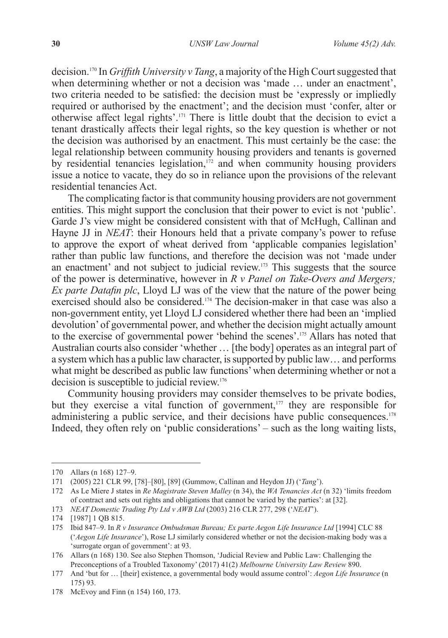decision.170 In *Griffith University v Tang*, a majority of the High Court suggested that when determining whether or not a decision was 'made ... under an enactment', two criteria needed to be satisfied: the decision must be 'expressly or impliedly required or authorised by the enactment'; and the decision must 'confer, alter or otherwise affect legal rights'.171 There is little doubt that the decision to evict a tenant drastically affects their legal rights, so the key question is whether or not the decision was authorised by an enactment. This must certainly be the case: the legal relationship between community housing providers and tenants is governed by residential tenancies legislation,<sup>172</sup> and when community housing providers issue a notice to vacate, they do so in reliance upon the provisions of the relevant residential tenancies Act.

The complicating factor is that community housing providers are not government entities. This might support the conclusion that their power to evict is not 'public'. Garde J's view might be considered consistent with that of McHugh, Callinan and Hayne JJ in *NEAT*: their Honours held that a private company's power to refuse to approve the export of wheat derived from 'applicable companies legislation' rather than public law functions, and therefore the decision was not 'made under an enactment' and not subject to judicial review.173 This suggests that the source of the power is determinative, however in *R v Panel on Take-Overs and Mergers; Ex parte Datafin plc*, Lloyd LJ was of the view that the nature of the power being exercised should also be considered.<sup>174</sup> The decision-maker in that case was also a non-government entity, yet Lloyd LJ considered whether there had been an 'implied devolution' of governmental power, and whether the decision might actually amount to the exercise of governmental power 'behind the scenes'.175 Allars has noted that Australian courts also consider 'whether … [the body] operates as an integral part of a system which has a public law character, is supported by public law… and performs what might be described as public law functions' when determining whether or not a decision is susceptible to judicial review.<sup>176</sup>

Community housing providers may consider themselves to be private bodies, but they exercise a vital function of government, $177$  they are responsible for administering a public service, and their decisions have public consequences.<sup>178</sup> Indeed, they often rely on 'public considerations' – such as the long waiting lists,

<sup>170</sup> Allars (n 168) 127–9.

<sup>171</sup> (2005) 221 CLR 99, [78]–[80], [89] (Gummow, Callinan and Heydon JJ) ('*Tang*').

<sup>172</sup> As Le Miere J states in *Re Magistrate Steven Malley* (n 34), the *WA Tenancies Act* (n 32) 'limits freedom of contract and sets out rights and obligations that cannot be varied by the parties': at [32].

<sup>173</sup> *NEAT Domestic Trading Pty Ltd v AWB Ltd* (2003) 216 CLR 277, 298 ('*NEAT*').

<sup>174</sup> [1987] 1 QB 815.

<sup>175</sup> Ibid 847–9. In *R v Insurance Ombudsman Bureau; Ex parte Aegon Life Insurance Ltd* [1994] CLC 88 ('*Aegon Life Insurance*'), Rose LJ similarly considered whether or not the decision-making body was a 'surrogate organ of government': at 93.

<sup>176</sup> Allars (n 168) 130. See also Stephen Thomson, 'Judicial Review and Public Law: Challenging the Preconceptions of a Troubled Taxonomy' (2017) 41(2) *Melbourne University Law Review* 890.

<sup>177</sup> And 'but for … [their] existence, a governmental body would assume control': *Aegon Life Insurance* (n 175) 93.

<sup>178</sup> McEvoy and Finn (n 154) 160, 173.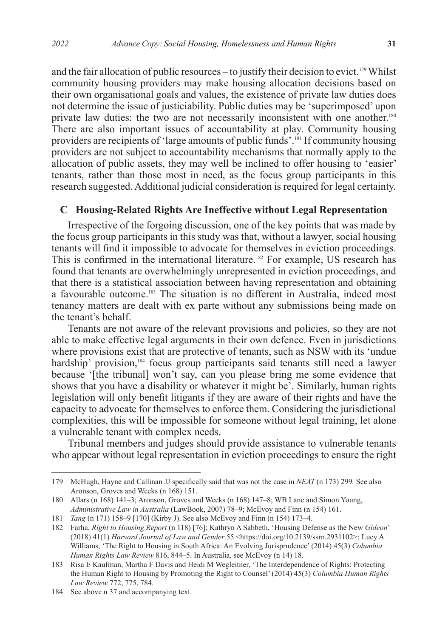and the fair allocation of public resources – to justify their decision to evict.<sup>179</sup> Whilst community housing providers may make housing allocation decisions based on their own organisational goals and values, the existence of private law duties does not determine the issue of justiciability. Public duties may be 'superimposed' upon private law duties: the two are not necessarily inconsistent with one another.180 There are also important issues of accountability at play. Community housing providers are recipients of 'large amounts of public funds'.181 If community housing providers are not subject to accountability mechanisms that normally apply to the allocation of public assets, they may well be inclined to offer housing to 'easier' tenants, rather than those most in need, as the focus group participants in this research suggested. Additional judicial consideration is required for legal certainty.

#### **C Housing-Related Rights Are Ineffective without Legal Representation**

Irrespective of the forgoing discussion, one of the key points that was made by the focus group participants in this study was that, without a lawyer, social housing tenants will find it impossible to advocate for themselves in eviction proceedings. This is confirmed in the international literature.<sup>182</sup> For example, US research has found that tenants are overwhelmingly unrepresented in eviction proceedings, and that there is a statistical association between having representation and obtaining a favourable outcome.<sup>183</sup> The situation is no different in Australia, indeed most tenancy matters are dealt with ex parte without any submissions being made on the tenant's behalf.

Tenants are not aware of the relevant provisions and policies, so they are not able to make effective legal arguments in their own defence. Even in jurisdictions where provisions exist that are protective of tenants, such as NSW with its 'undue hardship' provision,<sup>184</sup> focus group participants said tenants still need a lawyer because '[the tribunal] won't say, can you please bring me some evidence that shows that you have a disability or whatever it might be'. Similarly, human rights legislation will only benefit litigants if they are aware of their rights and have the capacity to advocate for themselves to enforce them. Considering the jurisdictional complexities, this will be impossible for someone without legal training, let alone a vulnerable tenant with complex needs.

Tribunal members and judges should provide assistance to vulnerable tenants who appear without legal representation in eviction proceedings to ensure the right

<sup>179</sup> McHugh, Hayne and Callinan JJ specifically said that was not the case in *NEAT* (n 173) 299*.* See also Aronson, Groves and Weeks (n 168) 151.

<sup>180</sup> Allars (n 168) 141–3; Aronson, Groves and Weeks (n 168) 147–8; WB Lane and Simon Young, *Administrative Law in Australia* (LawBook, 2007) 78–9; McEvoy and Finn (n 154) 161.

<sup>181</sup> *Tang* (n 171) 158–9 [170] (Kirby J). See also McEvoy and Finn (n 154) 173–4.

<sup>182</sup> Farha, *Right to Housing Report* (n 118) [76]; Kathryn A Sabbeth, 'Housing Defense as the New *Gideon*' (2018) 41(1) *Harvard Journal of Law and Gender* 55 <https://doi.org/10.2139/ssrn.2931102>; Lucy A Williams, 'The Right to Housing in South Africa: An Evolving Jurisprudence' (2014) 45(3) *Columbia Human Rights Law Review* 816, 844–5. In Australia, see McEvoy (n 14) 18.

<sup>183</sup> Risa E Kaufman, Martha F Davis and Heidi M Wegleitner, 'The Interdependence of Rights: Protecting the Human Right to Housing by Promoting the Right to Counsel' (2014) 45(3) *Columbia Human Rights Law Review* 772, 775, 784.

<sup>184</sup> See above n 37 and accompanying text.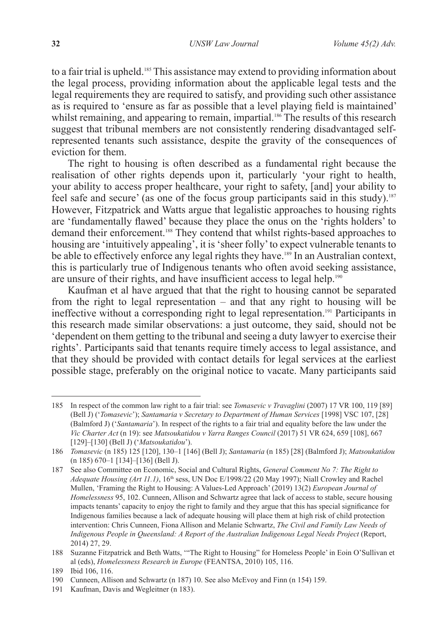to a fair trial is upheld.<sup>185</sup> This assistance may extend to providing information about the legal process, providing information about the applicable legal tests and the legal requirements they are required to satisfy, and providing such other assistance as is required to 'ensure as far as possible that a level playing field is maintained' whilst remaining, and appearing to remain, impartial.<sup>186</sup> The results of this research suggest that tribunal members are not consistently rendering disadvantaged selfrepresented tenants such assistance, despite the gravity of the consequences of eviction for them.

The right to housing is often described as a fundamental right because the realisation of other rights depends upon it, particularly 'your right to health, your ability to access proper healthcare, your right to safety, [and] your ability to feel safe and secure' (as one of the focus group participants said in this study).<sup>187</sup> However, Fitzpatrick and Watts argue that legalistic approaches to housing rights are 'fundamentally flawed' because they place the onus on the 'rights holders' to demand their enforcement.<sup>188</sup> They contend that whilst rights-based approaches to housing are 'intuitively appealing', it is 'sheer folly' to expect vulnerable tenants to be able to effectively enforce any legal rights they have.<sup>189</sup> In an Australian context, this is particularly true of Indigenous tenants who often avoid seeking assistance, are unsure of their rights, and have insufficient access to legal help.<sup>190</sup>

Kaufman et al have argued that that the right to housing cannot be separated from the right to legal representation – and that any right to housing will be ineffective without a corresponding right to legal representation.191 Participants in this research made similar observations: a just outcome, they said, should not be 'dependent on them getting to the tribunal and seeing a duty lawyer to exercise their rights'. Participants said that tenants require timely access to legal assistance, and that they should be provided with contact details for legal services at the earliest possible stage, preferably on the original notice to vacate. Many participants said

<sup>185</sup> In respect of the common law right to a fair trial: see *Tomasevic v Travaglini* (2007) 17 VR 100, 119 [89] (Bell J) ('*Tomasevic*'); *Santamaria v Secretary to Department of Human Services* [1998] VSC 107, [28] (Balmford J) ('*Santamaria*'). In respect of the rights to a fair trial and equality before the law under the *Vic Charter Act* (n 19): see *Matsoukatidou v Yarra Ranges Council* (2017) 51 VR 624, 659 [108], 667 [129]–[130] (Bell J) ('*Matsoukatidou*').

<sup>186</sup> *Tomasevic* (n 185) 125 [120], 130–1 [146] (Bell J); *Santamaria* (n 185) [28] (Balmford J); *Matsoukatidou*  (n 185) 670–1 [134]–[136] (Bell J).

<sup>187</sup> See also Committee on Economic, Social and Cultural Rights, *General Comment No 7: The Right to Adequate Housing (Art 11.1)*, 16th sess, UN Doc E/1998/22 (20 May 1997); Niall Crowley and Rachel Mullen, 'Framing the Right to Housing: A Values-Led Approach' (2019) 13(2) *European Journal of Homelessness* 95, 102. Cunneen, Allison and Schwartz agree that lack of access to stable, secure housing impacts tenants' capacity to enjoy the right to family and they argue that this has special significance for Indigenous families because a lack of adequate housing will place them at high risk of child protection intervention: Chris Cunneen, Fiona Allison and Melanie Schwartz, *The Civil and Family Law Needs of Indigenous People in Queensland: A Report of the Australian Indigenous Legal Needs Project* (Report, 2014) 27, 29.

<sup>188</sup> Suzanne Fitzpatrick and Beth Watts, '"The Right to Housing" for Homeless People' in Eoin O'Sullivan et al (eds), *Homelessness Research in Europe* (FEANTSA, 2010) 105, 116.

<sup>189</sup> Ibid 106, 116.

<sup>190</sup> Cunneen, Allison and Schwartz (n 187) 10. See also McEvoy and Finn (n 154) 159.

<sup>191</sup> Kaufman, Davis and Wegleitner (n 183).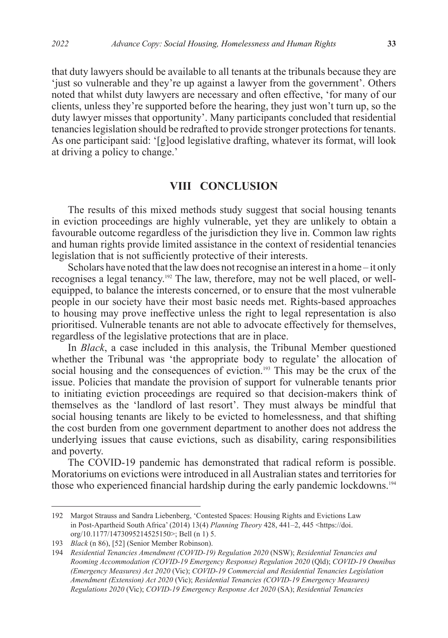that duty lawyers should be available to all tenants at the tribunals because they are 'just so vulnerable and they're up against a lawyer from the government'. Others noted that whilst duty lawyers are necessary and often effective, 'for many of our clients, unless they're supported before the hearing, they just won't turn up, so the duty lawyer misses that opportunity'. Many participants concluded that residential tenancies legislation should be redrafted to provide stronger protections for tenants. As one participant said: '[g]ood legislative drafting, whatever its format, will look at driving a policy to change.'

#### **VIII CONCLUSION**

The results of this mixed methods study suggest that social housing tenants in eviction proceedings are highly vulnerable, yet they are unlikely to obtain a favourable outcome regardless of the jurisdiction they live in. Common law rights and human rights provide limited assistance in the context of residential tenancies legislation that is not sufficiently protective of their interests.

Scholars have noted that the law does not recognise an interest in a home – it only recognises a legal tenancy.<sup>192</sup> The law, therefore, may not be well placed, or wellequipped, to balance the interests concerned, or to ensure that the most vulnerable people in our society have their most basic needs met. Rights-based approaches to housing may prove ineffective unless the right to legal representation is also prioritised. Vulnerable tenants are not able to advocate effectively for themselves, regardless of the legislative protections that are in place.

In *Black*, a case included in this analysis, the Tribunal Member questioned whether the Tribunal was 'the appropriate body to regulate' the allocation of social housing and the consequences of eviction.<sup>193</sup> This may be the crux of the issue. Policies that mandate the provision of support for vulnerable tenants prior to initiating eviction proceedings are required so that decision-makers think of themselves as the 'landlord of last resort'. They must always be mindful that social housing tenants are likely to be evicted to homelessness, and that shifting the cost burden from one government department to another does not address the underlying issues that cause evictions, such as disability, caring responsibilities and poverty.

The COVID-19 pandemic has demonstrated that radical reform is possible. Moratoriums on evictions were introduced in all Australian states and territories for those who experienced financial hardship during the early pandemic lockdowns.<sup>194</sup>

<sup>192</sup> Margot Strauss and Sandra Liebenberg, 'Contested Spaces: Housing Rights and Evictions Law in Post-Apartheid South Africa' (2014) 13(4) *Planning Theory* 428, 441–2, 445 <https://doi. org/10.1177/1473095214525150>; Bell (n 1) 5.

<sup>193</sup> *Black* (n 86), [52] (Senior Member Robinson).

<sup>194</sup> *Residential Tenancies Amendment (COVID-19) Regulation 2020* (NSW); *Residential Tenancies and Rooming Accommodation (COVID-19 Emergency Response) Regulation 2020* (Qld); *COVID-19 Omnibus (Emergency Measures) Act 2020* (Vic); *COVID-19 Commercial and Residential Tenancies Legislation Amendment (Extension) Act 2020* (Vic); *Residential Tenancies (COVID-19 Emergency Measures) Regulations 2020* (Vic); *COVID-19 Emergency Response Act 2020* (SA); *Residential Tenancies*